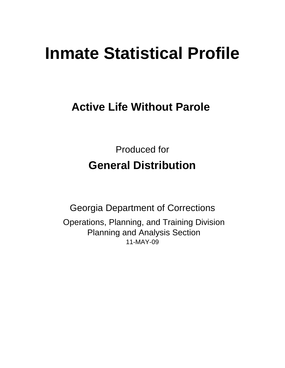# **Inmate Statistical Profile**

## **Active Life Without Parole**

Produced for **General Distribution**

11-MAY-09 Georgia Department of Corrections Operations, Planning, and Training Division Planning and Analysis Section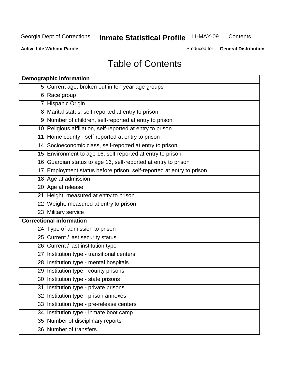**Contents** 

**Active Life Without Parole** 

Produced for **General Distribution**

## Table of Contents

| <b>Demographic information</b>                                       |
|----------------------------------------------------------------------|
| 5 Current age, broken out in ten year age groups                     |
| 6 Race group                                                         |
| 7 Hispanic Origin                                                    |
| 8 Marital status, self-reported at entry to prison                   |
| 9 Number of children, self-reported at entry to prison               |
| 10 Religious affiliation, self-reported at entry to prison           |
| 11 Home county - self-reported at entry to prison                    |
| 14 Socioeconomic class, self-reported at entry to prison             |
| 15 Environment to age 16, self-reported at entry to prison           |
| 16 Guardian status to age 16, self-reported at entry to prison       |
| 17 Employment status before prison, self-reported at entry to prison |
| 18 Age at admission                                                  |
| 20 Age at release                                                    |
| 21 Height, measured at entry to prison                               |
| 22 Weight, measured at entry to prison                               |
| 23 Military service                                                  |
| <b>Correctional information</b>                                      |
| 24 Type of admission to prison                                       |
| 25 Current / last security status                                    |
| 26 Current / last institution type                                   |
| 27 Institution type - transitional centers                           |
| 28 Institution type - mental hospitals                               |
| 29 Institution type - county prisons                                 |
| 30 Institution type - state prisons                                  |
| 31 Institution type - private prisons                                |
| 32 Institution type - prison annexes                                 |
| 33 Institution type - pre-release centers                            |
| 34 Institution type - inmate boot camp                               |
| 35 Number of disciplinary reports                                    |
| 36 Number of transfers                                               |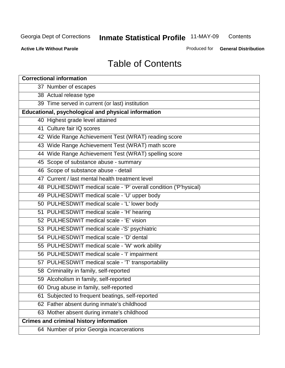**Contents** 

**Active Life Without Parole** 

Produced for **General Distribution**

## Table of Contents

| <b>Correctional information</b>                                  |
|------------------------------------------------------------------|
| 37 Number of escapes                                             |
| 38 Actual release type                                           |
| 39 Time served in current (or last) institution                  |
| Educational, psychological and physical information              |
| 40 Highest grade level attained                                  |
| 41 Culture fair IQ scores                                        |
| 42 Wide Range Achievement Test (WRAT) reading score              |
| 43 Wide Range Achievement Test (WRAT) math score                 |
| 44 Wide Range Achievement Test (WRAT) spelling score             |
| 45 Scope of substance abuse - summary                            |
| 46 Scope of substance abuse - detail                             |
| 47 Current / last mental health treatment level                  |
| 48 PULHESDWIT medical scale - 'P' overall condition ('P'hysical) |
| 49 PULHESDWIT medical scale - 'U' upper body                     |
| 50 PULHESDWIT medical scale - 'L' lower body                     |
| 51 PULHESDWIT medical scale - 'H' hearing                        |
| 52 PULHESDWIT medical scale - 'E' vision                         |
| 53 PULHESDWIT medical scale -'S' psychiatric                     |
| 54 PULHESDWIT medical scale - 'D' dental                         |
| 55 PULHESDWIT medical scale - 'W' work ability                   |
| 56 PULHESDWIT medical scale - 'I' impairment                     |
| 57 PULHESDWIT medical scale - 'T' transportability               |
| 58 Criminality in family, self-reported                          |
| 59 Alcoholism in family, self-reported                           |
| 60 Drug abuse in family, self-reported                           |
| Subjected to frequent beatings, self-reported<br>61              |
| 62 Father absent during inmate's childhood                       |
| 63 Mother absent during inmate's childhood                       |
| <b>Crimes and criminal history information</b>                   |
| 64 Number of prior Georgia incarcerations                        |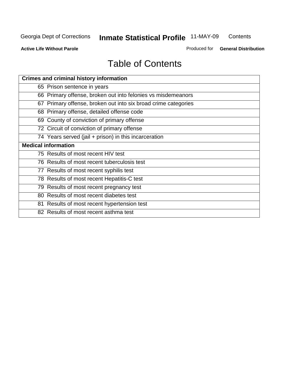**Contents** 

**Active Life Without Parole** 

Produced for **General Distribution**

## Table of Contents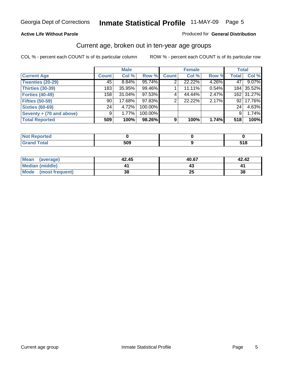#### **Active Life Without Parole**

#### Produced for **General Distribution**

#### Current age, broken out in ten-year age groups

|                          |              | <b>Male</b> |         |              | <b>Female</b> |       |                 | <b>Total</b> |
|--------------------------|--------------|-------------|---------|--------------|---------------|-------|-----------------|--------------|
| <b>Current Age</b>       | <b>Count</b> | Col %       | Row %   | <b>Count</b> | Col %         | Row % | <b>Total</b>    | Col %        |
| <b>Twenties (20-29)</b>  | 45           | $8.84\%$    | 95.74%  |              | 22.22%        | 4.26% | 47              | 9.07%        |
| <b>Thirties (30-39)</b>  | 183          | 35.95%      | 99.46%  |              | 11.11%        | 0.54% |                 | 184 35.52%   |
| <b>Forties (40-49)</b>   | 158          | $31.04\%$   | 97.53%  | $\sim$       | 44.44%        | 2.47% |                 | 162 31.27%   |
| <b>Fifties (50-59)</b>   | 90           | 17.68%      | 97.83%  | 2            | 22.22%        | 2.17% | 92 <sub>1</sub> | 17.76%       |
| <b>Sixties (60-69)</b>   | 24           | 4.72%       | 100.00% |              |               |       | 24              | 4.63%        |
| Seventy + (70 and above) | 9            | 1.77%       | 100.00% |              |               |       | 9               | 1.74%        |
| <b>Total Reported</b>    | 509          | 100%        | 98.26%  | 9            | 100%          | 1.74% | 518             | 100%         |

| <b>NOT Reported</b> |            |       |
|---------------------|------------|-------|
| <b>Grand Total</b>  | EAO<br>ວບະ | - - - |

| <b>Mean</b><br>(average) | 42.45 | 40.67 | 42.42 |
|--------------------------|-------|-------|-------|
| <b>Median (middle)</b>   |       |       |       |
| Mode<br>(most frequent)  | 38    | ∠J    | 38    |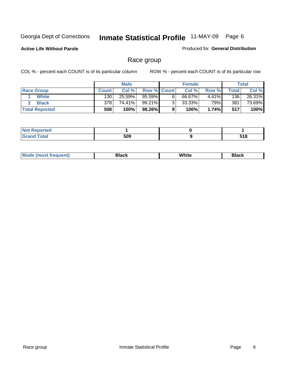**Active Life Without Parole** 

Produced for **General Distribution**

### Race group

|                       |              | <b>Male</b> |             |   | <b>Female</b> |       |       | <b>Total</b> |
|-----------------------|--------------|-------------|-------------|---|---------------|-------|-------|--------------|
| <b>Race Group</b>     | <b>Count</b> | Col %       | Row % Count |   | Col %         | Row % | Total | Col %        |
| <b>White</b>          | 130          | 25.59%      | 95.59%      | 6 | 66.67%        | 4.41% | 136   | 26.31%       |
| <b>Black</b>          | 378          | 74.41%      | 99.21%      |   | $33.33\%$     | .79%  | 381   | 73.69%       |
| <b>Total Reported</b> | 508          | 100%        | 98.26%      |   | 100%          | 1.74% | 517   | 100%         |

| eported<br>$\cdots$ |     |              |
|---------------------|-----|--------------|
| fota'<br>_____      | 509 | E 4 0<br>u v |

| $^1$ Mo. | Rlack | White | 3lack |
|----------|-------|-------|-------|
| .        |       |       |       |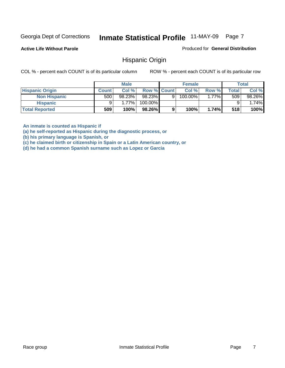**Active Life Without Parole** 

Produced for **General Distribution**

#### Hispanic Origin

COL % - percent each COUNT is of its particular column ROW % - percent each COUNT is of its particular row

|                        |              | <b>Male</b> |             |   | <b>Female</b> |         |       | <b>Total</b> |
|------------------------|--------------|-------------|-------------|---|---------------|---------|-------|--------------|
| <b>Hispanic Origin</b> | <b>Count</b> | Col %       | Row % Count |   | Col %         | Row %   | Total | Col %        |
| <b>Non Hispanic</b>    | 500          | 98.23%      | 98.23%      | 9 | 100.00%       | $.77\%$ | 509   | 98.26%       |
| <b>Hispanic</b>        |              | $1.77\%$    | 100.00%     |   |               |         |       | 1.74%        |
| <b>Total Reported</b>  | 509          | 100%        | 98.26%      | 9 | 100%          | 1.74%   | 518   | 100%         |

**An inmate is counted as Hispanic if** 

**(a) he self-reported as Hispanic during the diagnostic process, or** 

**(b) his primary language is Spanish, or** 

**(c) he claimed birth or citizenship in Spain or a Latin American country, or** 

**(d) he had a common Spanish surname such as Lopez or Garcia**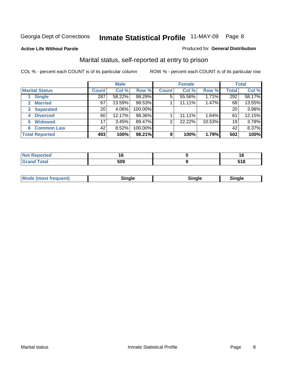**Active Life Without Parole** 

#### Produced for **General Distribution**

### Marital status, self-reported at entry to prison

|                        | <b>Male</b>  |        |         | <b>Female</b>  |        |        | <b>Total</b> |        |
|------------------------|--------------|--------|---------|----------------|--------|--------|--------------|--------|
| <b>Marital Status</b>  | <b>Count</b> | Col %  | Row %   | <b>Count</b>   | Col %  | Row %  | <b>Total</b> | Col %  |
| <b>Single</b>          | 287          | 58.22% | 98.29%  | $\overline{5}$ | 55.56% | 1.71%  | 292          | 58.17% |
| <b>Married</b><br>2.   | 67           | 13.59% | 98.53%  |                | 11.11% | 1.47%  | 68           | 13.55% |
| <b>Separated</b><br>3  | 20           | 4.06%  | 100.00% |                |        |        | 20           | 3.98%  |
| <b>Divorced</b><br>4   | 60           | 12.17% | 98.36%  |                | 11.11% | 1.64%  | 61           | 12.15% |
| <b>Widowed</b><br>5    | 17           | 3.45%  | 89.47%  | 2              | 22.22% | 10.53% | 19           | 3.78%  |
| <b>Common Law</b><br>6 | 42           | 8.52%  | 100.00% |                |        |        | 42           | 8.37%  |
| <b>Total Reported</b>  | 493          | 100%   | 98.21%  | 9              | 100%   | 1.79%  | 502          | 100%   |

| --                          |                   | יי          |
|-----------------------------|-------------------|-------------|
| $\sim$ $\sim$ $\sim$ $\sim$ | <b>EOO</b><br>ນບະ | 74 O<br>JIU |

|  | Moc<br>: (most frequent) | ли |  | <b>Rinale</b> |
|--|--------------------------|----|--|---------------|
|--|--------------------------|----|--|---------------|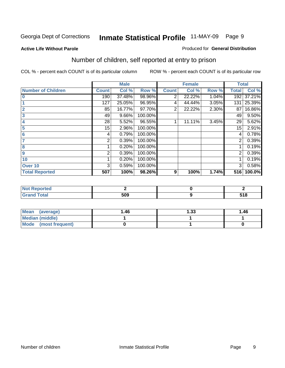#### **Active Life Without Parole**

#### Produced for **General Distribution**

### Number of children, self reported at entry to prison

|                           |              | <b>Male</b> |         |              | <b>Female</b> |       | <b>Total</b> |        |
|---------------------------|--------------|-------------|---------|--------------|---------------|-------|--------------|--------|
| <b>Number of Children</b> | <b>Count</b> | Col %       | Row %   | <b>Count</b> | Col %         | Row % | <b>Total</b> | Col %  |
| $\bf{0}$                  | 190          | 37.48%      | 98.96%  | 2            | 22.22%        | 1.04% | 192          | 37.21% |
|                           | 127          | 25.05%      | 96.95%  | 4            | 44.44%        | 3.05% | 131          | 25.39% |
| $\overline{2}$            | 85           | 16.77%      | 97.70%  | 2            | 22.22%        | 2.30% | 87           | 16.86% |
| 3                         | 49           | 9.66%       | 100.00% |              |               |       | 49           | 9.50%  |
| 4                         | 28           | 5.52%       | 96.55%  |              | 11.11%        | 3.45% | 29           | 5.62%  |
| 5                         | 15           | 2.96%       | 100.00% |              |               |       | 15           | 2.91%  |
| $6\phantom{a}$            | 4            | 0.79%       | 100.00% |              |               |       | 4            | 0.78%  |
| 7                         | 2            | 0.39%       | 100.00% |              |               |       | 2            | 0.39%  |
| 8                         |              | 0.20%       | 100.00% |              |               |       |              | 0.19%  |
| 9                         | 2            | 0.39%       | 100.00% |              |               |       | 2            | 0.39%  |
| 10                        |              | 0.20%       | 100.00% |              |               |       |              | 0.19%  |
| Over 10                   | 3            | 0.59%       | 100.00% |              |               |       | 3            | 0.58%  |
| <b>Total Reported</b>     | 507          | 100%        | 98.26%  | 9            | 100%          | 1.74% | 516          | 100.0% |

| ™rteu<br>.       |     |       |
|------------------|-----|-------|
| <b>otal</b>      | EUU | - - - |
| $\mathbf{v}$ and | าบะ | טוי   |

| <b>Mean</b><br>(average) | 1.46 | 1.33 | 1.46 |
|--------------------------|------|------|------|
| <b>Median (middle)</b>   |      |      |      |
| Mode (most frequent)     |      |      |      |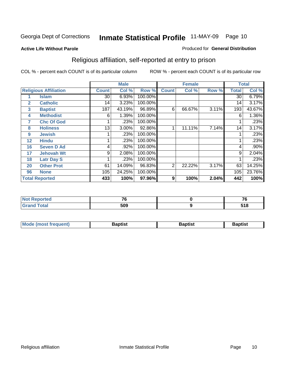#### **Active Life Without Parole**

#### Produced for **General Distribution**

### Religious affiliation, self-reported at entry to prison

|              |                              |                 | <b>Male</b> |         |                | <b>Female</b> |       |              | <b>Total</b> |
|--------------|------------------------------|-----------------|-------------|---------|----------------|---------------|-------|--------------|--------------|
|              | <b>Religious Affiliation</b> | <b>Count</b>    | Col %       | Row %   | <b>Count</b>   | Col %         | Row % | <b>Total</b> | Col %        |
|              | <b>Islam</b>                 | 30              | 6.93%       | 100.00% |                |               |       | 30           | 6.79%        |
| $\mathbf{2}$ | <b>Catholic</b>              | 14              | 3.23%       | 100.00% |                |               |       | 14           | 3.17%        |
| 3            | <b>Baptist</b>               | 187             | 43.19%      | 96.89%  | 6              | 66.67%        | 3.11% | 193          | 43.67%       |
| 4            | <b>Methodist</b>             | 6               | 1.39%       | 100.00% |                |               |       | 6            | 1.36%        |
| 7            | <b>Chc Of God</b>            |                 | .23%        | 100.00% |                |               |       |              | .23%         |
| 8            | <b>Holiness</b>              | 13 <sub>1</sub> | 3.00%       | 92.86%  |                | 11.11%        | 7.14% | 14           | 3.17%        |
| 9            | <b>Jewish</b>                |                 | .23%        | 100.00% |                |               |       |              | .23%         |
| 12           | <b>Hindu</b>                 |                 | .23%        | 100.00% |                |               |       |              | .23%         |
| 16           | <b>Seven D Ad</b>            | 4               | .92%        | 100.00% |                |               |       | 4            | $.90\%$      |
| 17           | <b>Jehovah Wt</b>            | 9               | 2.08%       | 100.00% |                |               |       | 9            | 2.04%        |
| 18           | <b>Latr Day S</b>            |                 | .23%        | 100.00% |                |               |       |              | .23%         |
| 20           | <b>Other Prot</b>            | 61              | 14.09%      | 96.83%  | $\overline{2}$ | 22.22%        | 3.17% | 63           | 14.25%       |
| 96           | <b>None</b>                  | 105             | 24.25%      | 100.00% |                |               |       | 105          | 23.76%       |
|              | <b>Total Reported</b>        | 433             | 100%        | 97.96%  | 9              | 100%          | 2.04% | 442          | 100%         |

| . Reported<br><b>NOT</b>         | $-$ | - -               |
|----------------------------------|-----|-------------------|
| <b>Total</b><br>$\mathbf{v}$ and | 509 | <b>E40</b><br>318 |

| <b>Mode (most frequent)</b> | Baptist | Baptist | Baptist |
|-----------------------------|---------|---------|---------|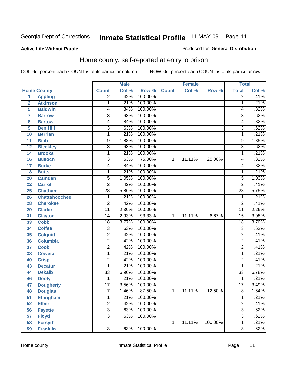Produced for **General Distribution**

#### **Active Life Without Parole**

### Home county, self-reported at entry to prison

|                |                      |                 | <b>Male</b> |         |              | <b>Female</b> |         | <b>Total</b>    |       |
|----------------|----------------------|-----------------|-------------|---------|--------------|---------------|---------|-----------------|-------|
|                | <b>Home County</b>   | <b>Count</b>    | Col %       | Row %   | <b>Count</b> | Col %         | Row %   | <b>Total</b>    | Col % |
| $\overline{1}$ | <b>Appling</b>       | $\overline{2}$  | .42%        | 100.00% |              |               |         | $\overline{2}$  | .41%  |
| $\overline{2}$ | <b>Atkinson</b>      | 1               | .21%        | 100.00% |              |               |         | 1               | .21%  |
| 5              | <b>Baldwin</b>       | 4               | .84%        | 100.00% |              |               |         | 4               | .82%  |
| 7              | <b>Barrow</b>        | $\overline{3}$  | .63%        | 100.00% |              |               |         | $\overline{3}$  | .62%  |
| 8              | <b>Bartow</b>        | 4               | .84%        | 100.00% |              |               |         | 4               | .82%  |
| 9              | <b>Ben Hill</b>      | $\overline{3}$  | .63%        | 100.00% |              |               |         | $\overline{3}$  | .62%  |
| 10             | <b>Berrien</b>       | 1               | .21%        | 100.00% |              |               |         | 1               | .21%  |
| 11             | <b>Bibb</b>          | 9               | 1.88%       | 100.00% |              |               |         | 9               | 1.85% |
| 12             | <b>Bleckley</b>      | $\overline{3}$  | .63%        | 100.00% |              |               |         | $\overline{3}$  | .62%  |
| 14             | <b>Brooks</b>        | 1               | .21%        | 100.00% |              |               |         | 1               | .21%  |
| 16             | <b>Bulloch</b>       | $\overline{3}$  | .63%        | 75.00%  | 1            | 11.11%        | 25.00%  | 4               | .82%  |
| 17             | <b>Burke</b>         | 4               | .84%        | 100.00% |              |               |         | 4               | .82%  |
| 18             | <b>Butts</b>         | 1               | .21%        | 100.00% |              |               |         | 1               | .21%  |
| 20             | <b>Camden</b>        | 5               | 1.05%       | 100.00% |              |               |         | $\overline{5}$  | 1.03% |
| 22             | <b>Carroll</b>       | $\overline{2}$  | .42%        | 100.00% |              |               |         | $\overline{2}$  | .41%  |
| 25             | <b>Chatham</b>       | $\overline{28}$ | 5.86%       | 100.00% |              |               |         | 28              | 5.75% |
| 26             | <b>Chattahoochee</b> | 1               | .21%        | 100.00% |              |               |         | 1               | .21%  |
| 28             | <b>Cherokee</b>      | $\overline{2}$  | .42%        | 100.00% |              |               |         | $\overline{2}$  | .41%  |
| 29             | <b>Clarke</b>        | $\overline{11}$ | 2.30%       | 100.00% |              |               |         | 11              | 2.26% |
| 31             | <b>Clayton</b>       | 14              | 2.93%       | 93.33%  | 1            | 11.11%        | 6.67%   | $\overline{15}$ | 3.08% |
| 33             | <b>Cobb</b>          | $\overline{18}$ | 3.77%       | 100.00% |              |               |         | $\overline{18}$ | 3.70% |
| 34             | <b>Coffee</b>        | $\overline{3}$  | .63%        | 100.00% |              |               |         | 3               | .62%  |
| 35             | <b>Colquitt</b>      | $\overline{2}$  | .42%        | 100.00% |              |               |         | $\overline{2}$  | .41%  |
| 36             | <b>Columbia</b>      | $\overline{2}$  | .42%        | 100.00% |              |               |         | $\overline{2}$  | .41%  |
| 37             | <b>Cook</b>          | $\overline{2}$  | .42%        | 100.00% |              |               |         | $\overline{2}$  | .41%  |
| 38             | <b>Coweta</b>        | 1               | .21%        | 100.00% |              |               |         | 1               | .21%  |
| 40             | <b>Crisp</b>         | $\overline{2}$  | .42%        | 100.00% |              |               |         | $\overline{2}$  | .41%  |
| 43             | <b>Decatur</b>       | 1               | .21%        | 100.00% |              |               |         | 1               | .21%  |
| 44             | <b>Dekalb</b>        | $\overline{33}$ | 6.90%       | 100.00% |              |               |         | $\overline{33}$ | 6.78% |
| 46             | <b>Dooly</b>         | 1               | .21%        | 100.00% |              |               |         | 1               | .21%  |
| 47             | <b>Dougherty</b>     | $\overline{17}$ | 3.56%       | 100.00% |              |               |         | $\overline{17}$ | 3.49% |
| 48             | <b>Douglas</b>       | 7               | 1.46%       | 87.50%  | 1            | 11.11%        | 12.50%  | 8               | 1.64% |
| 51             | <b>Effingham</b>     | 1               | .21%        | 100.00% |              |               |         | 1               | .21%  |
| 52             | <b>Elbert</b>        | $\overline{2}$  | .42%        | 100.00% |              |               |         | $\overline{2}$  | .41%  |
| 56             | <b>Fayette</b>       | $\overline{3}$  | .63%        | 100.00% |              |               |         | $\overline{3}$  | .62%  |
| 57             | <b>Floyd</b>         | $\overline{3}$  | .63%        | 100.00% |              |               |         | $\overline{3}$  | .62%  |
| 58             | <b>Forsyth</b>       |                 |             |         | 1            | 11.11%        | 100.00% | 1               | .21%  |
| 59             | <b>Franklin</b>      | $\overline{3}$  | .63%        | 100.00% |              |               |         | $\overline{3}$  | .62%  |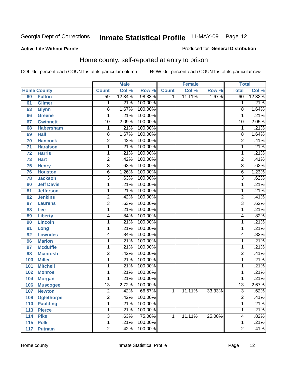#### **Active Life Without Parole**

#### Produced for **General Distribution**

### Home county, self-reported at entry to prison

|     |                    |                 | <b>Male</b> |         |              | <b>Female</b> |        | <b>Total</b>    |        |
|-----|--------------------|-----------------|-------------|---------|--------------|---------------|--------|-----------------|--------|
|     | <b>Home County</b> | <b>Count</b>    | Col %       | Row %   | <b>Count</b> | Col %         | Row %  | <b>Total</b>    | Col %  |
| 60  | <b>Fulton</b>      | $\overline{59}$ | 12.34%      | 98.33%  | 1            | 11.11%        | 1.67%  | 60              | 12.32% |
| 61  | <b>Gilmer</b>      | 1               | .21%        | 100.00% |              |               |        | 1               | .21%   |
| 63  | <b>Glynn</b>       | $\overline{8}$  | 1.67%       | 100.00% |              |               |        | 8               | 1.64%  |
| 66  | <b>Greene</b>      | 1               | .21%        | 100.00% |              |               |        | 1               | .21%   |
| 67  | <b>Gwinnett</b>    | 10              | 2.09%       | 100.00% |              |               |        | $\overline{10}$ | 2.05%  |
| 68  | <b>Habersham</b>   | 1               | .21%        | 100.00% |              |               |        | 1               | .21%   |
| 69  | <b>Hall</b>        | $\overline{8}$  | 1.67%       | 100.00% |              |               |        | 8               | 1.64%  |
| 70  | <b>Hancock</b>     | $\overline{2}$  | .42%        | 100.00% |              |               |        | $\overline{2}$  | .41%   |
| 71  | <b>Haralson</b>    | 1               | .21%        | 100.00% |              |               |        | 1               | .21%   |
| 72  | <b>Harris</b>      | 1               | .21%        | 100.00% |              |               |        | 1               | .21%   |
| 73  | <b>Hart</b>        | $\overline{c}$  | .42%        | 100.00% |              |               |        | $\overline{2}$  | .41%   |
| 75  | <b>Henry</b>       | $\overline{3}$  | .63%        | 100.00% |              |               |        | $\overline{3}$  | .62%   |
| 76  | <b>Houston</b>     | 6               | 1.26%       | 100.00% |              |               |        | 6               | 1.23%  |
| 78  | <b>Jackson</b>     | $\overline{3}$  | .63%        | 100.00% |              |               |        | $\overline{3}$  | .62%   |
| 80  | <b>Jeff Davis</b>  | 1               | .21%        | 100.00% |              |               |        | 1               | .21%   |
| 81  | <b>Jefferson</b>   | 1               | .21%        | 100.00% |              |               |        | 1               | .21%   |
| 82  | <b>Jenkins</b>     | $\overline{2}$  | .42%        | 100.00% |              |               |        | 2               | .41%   |
| 87  | <b>Laurens</b>     | $\overline{3}$  | .63%        | 100.00% |              |               |        | $\overline{3}$  | .62%   |
| 88  | Lee                | 1               | .21%        | 100.00% |              |               |        | 1               | .21%   |
| 89  | <b>Liberty</b>     | 4               | .84%        | 100.00% |              |               |        | 4               | .82%   |
| 90  | <b>Lincoln</b>     | $\mathbf{1}$    | .21%        | 100.00% |              |               |        | 1               | .21%   |
| 91  | Long               | 1               | .21%        | 100.00% |              |               |        | 1               | .21%   |
| 92  | <b>Lowndes</b>     | 4               | .84%        | 100.00% |              |               |        | 4               | .82%   |
| 96  | <b>Marion</b>      | 1               | .21%        | 100.00% |              |               |        | 1               | .21%   |
| 97  | <b>Mcduffie</b>    | 1               | .21%        | 100.00% |              |               |        | 1               | .21%   |
| 98  | <b>Mcintosh</b>    | $\overline{2}$  | .42%        | 100.00% |              |               |        | $\overline{2}$  | .41%   |
| 100 | <b>Miller</b>      | $\mathbf{1}$    | .21%        | 100.00% |              |               |        | 1               | .21%   |
| 101 | <b>Mitchell</b>    | 1               | .21%        | 100.00% |              |               |        | 1               | .21%   |
| 102 | <b>Monroe</b>      | $\mathbf{1}$    | .21%        | 100.00% |              |               |        | 1               | .21%   |
| 104 | <b>Morgan</b>      | 1               | .21%        | 100.00% |              |               |        | 1               | .21%   |
| 106 | <b>Muscogee</b>    | $\overline{13}$ | 2.72%       | 100.00% |              |               |        | $\overline{13}$ | 2.67%  |
| 107 | <b>Newton</b>      | 2               | .42%        | 66.67%  | 1            | 11.11%        | 33.33% | 3               | .62%   |
| 109 | <b>Oglethorpe</b>  | $\overline{2}$  | .42%        | 100.00% |              |               |        | $\overline{2}$  | .41%   |
| 110 | <b>Paulding</b>    | 1               | .21%        | 100.00% |              |               |        | 1               | .21%   |
| 113 | <b>Pierce</b>      | 1               | .21%        | 100.00% |              |               |        | 1               | .21%   |
| 114 | <b>Pike</b>        | $\overline{3}$  | .63%        | 75.00%  | 1            | 11.11%        | 25.00% | 4               | .82%   |
| 115 | <b>Polk</b>        | 1               | .21%        | 100.00% |              |               |        | 1               | .21%   |
| 117 | <b>Putnam</b>      | $\overline{2}$  | .42%        | 100.00% |              |               |        | $\overline{2}$  | .41%   |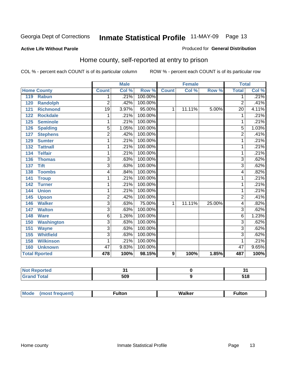#### **Active Life Without Parole**

#### Produced for **General Distribution**

### Home county, self-reported at entry to prison

|     |                      |                | <b>Male</b> |         |                | Female |        | <b>Total</b>    |       |
|-----|----------------------|----------------|-------------|---------|----------------|--------|--------|-----------------|-------|
|     | <b>Home County</b>   | <b>Count</b>   | Col %       | Row %   | <b>Count</b>   | Col %  | Row %  | <b>Total</b>    | Col % |
| 119 | Rabun                | 1              | .21%        | 100.00% |                |        |        | 1               | .21%  |
| 120 | <b>Randolph</b>      | $\overline{2}$ | .42%        | 100.00% |                |        |        | $\overline{2}$  | .41%  |
| 121 | <b>Richmond</b>      | 19             | 3.97%       | 95.00%  | 1              | 11.11% | 5.00%  | $\overline{20}$ | 4.11% |
| 122 | <b>Rockdale</b>      | 1              | .21%        | 100.00% |                |        |        | 1               | .21%  |
| 125 | <b>Seminole</b>      | 1              | .21%        | 100.00% |                |        |        | 1               | .21%  |
| 126 | <b>Spalding</b>      | $\overline{5}$ | 1.05%       | 100.00% |                |        |        | $\overline{5}$  | 1.03% |
| 127 | <b>Stephens</b>      | $\overline{2}$ | .42%        | 100.00% |                |        |        | $\overline{2}$  | .41%  |
| 129 | <b>Sumter</b>        | 1              | .21%        | 100.00% |                |        |        | 1               | .21%  |
| 132 | <b>Tattnall</b>      | 1              | .21%        | 100.00% |                |        |        | 1               | .21%  |
| 134 | <b>Telfair</b>       | 1              | .21%        | 100.00% |                |        |        | 1               | .21%  |
| 136 | <b>Thomas</b>        | $\overline{3}$ | .63%        | 100.00% |                |        |        | $\overline{3}$  | .62%  |
| 137 | <b>Tift</b>          | $\overline{3}$ | .63%        | 100.00% |                |        |        | $\overline{3}$  | .62%  |
| 138 | <b>Toombs</b>        | 4              | .84%        | 100.00% |                |        |        | 4               | .82%  |
| 141 | <b>Troup</b>         | 1              | .21%        | 100.00% |                |        |        | 1               | .21%  |
| 142 | <b>Turner</b>        | 1              | .21%        | 100.00% |                |        |        | 1               | .21%  |
| 144 | <b>Union</b>         | 1              | .21%        | 100.00% |                |        |        | 1               | .21%  |
| 145 | <b>Upson</b>         | $\overline{2}$ | .42%        | 100.00% |                |        |        | $\overline{2}$  | .41%  |
| 146 | <b>Walker</b>        | $\overline{3}$ | .63%        | 75.00%  | 1              | 11.11% | 25.00% | 4               | .82%  |
| 147 | <b>Walton</b>        | $\overline{3}$ | .63%        | 100.00% |                |        |        | $\overline{3}$  | .62%  |
| 148 | <b>Ware</b>          | 6              | 1.26%       | 100.00% |                |        |        | 6               | 1.23% |
| 150 | <b>Washington</b>    | $\overline{3}$ | .63%        | 100.00% |                |        |        | $\overline{3}$  | .62%  |
| 151 | <b>Wayne</b>         | $\overline{3}$ | .63%        | 100.00% |                |        |        | $\overline{3}$  | .62%  |
| 155 | <b>Whitfield</b>     | $\overline{3}$ | .63%        | 100.00% |                |        |        | 3               | .62%  |
| 158 | <b>Wilkinson</b>     | 1              | .21%        | 100.00% |                |        |        | 1               | .21%  |
| 160 | <b>Unknown</b>       | 47             | 9.83%       | 100.00% |                |        |        | 47              | 9.65% |
|     | <b>Total Rported</b> | 478            | 100%        | 98.15%  | $\overline{9}$ | 100%   | 1.85%  | 487             | 100%  |

| <b>No</b><br>νττεα<br>$\cdots$ |     | п.<br>           |
|--------------------------------|-----|------------------|
| $f$ oto'                       | 509 | <b>CAO</b><br>uw |

| Mode | <sup>∓</sup> ulton | Walker | con      |
|------|--------------------|--------|----------|
|      |                    |        | ________ |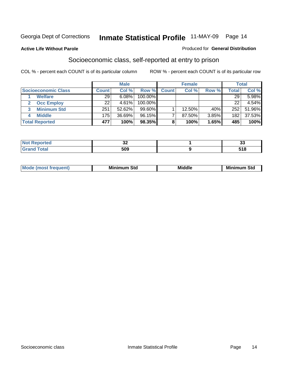#### **Active Life Without Parole**

#### Produced for **General Distribution**

### Socioeconomic class, self-reported at entry to prison

|                            | <b>Male</b>  |        | <b>Female</b> |              |        | <b>Total</b> |              |        |
|----------------------------|--------------|--------|---------------|--------------|--------|--------------|--------------|--------|
| <b>Socioeconomic Class</b> | <b>Count</b> | Col %  | Row %         | <b>Count</b> | Col %  | Row %        | <b>Total</b> | Col %  |
| <b>Welfare</b>             | 29           | 6.08%  | 100.00%       |              |        |              | 29           | 5.98%  |
| <b>Occ Employ</b>          | 22           | 4.61%  | $100.00\%$    |              |        |              | 22           | 4.54%  |
| <b>Minimum Std</b>         | 251          | 52.62% | $99.60\%$     |              | 12.50% | .40%         | 252          | 51.96% |
| <b>Middle</b>              | 175          | 36.69% | 96.15%        |              | 87.50% | 3.85%        | 182          | 37.53% |
| <b>Total Reported</b>      | 477          | 100%   | 98.35%        |              | 100%   | 1.65%        | 485          | 100%   |

|      | $\overline{\phantom{a}}$<br>υŁ | - -<br>ູ |
|------|--------------------------------|----------|
| $-1$ | 509                            | - 10     |

| .<br>___ |
|----------|
|----------|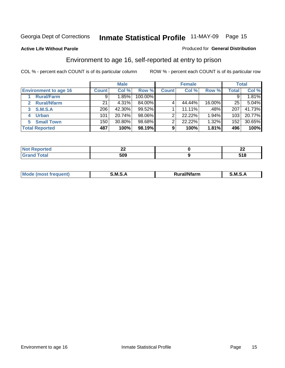#### **Active Life Without Parole**

#### Produced for **General Distribution**

### Environment to age 16, self-reported at entry to prison

|                                    | <b>Male</b>  |        | <b>Female</b> |              |        | <b>Total</b> |              |        |
|------------------------------------|--------------|--------|---------------|--------------|--------|--------------|--------------|--------|
| <b>Environment to age 16</b>       | <b>Count</b> | Col %  | Row %         | <b>Count</b> | Col %  | Row %        | <b>Total</b> | Col %  |
| <b>Rural/Farm</b>                  | 9            | 1.85%  | 100.00%       |              |        |              |              | 1.81%  |
| <b>Rural/Nfarm</b><br>$\mathbf{2}$ | 21           | 4.31%  | 84.00%        |              | 44.44% | 16.00%       | 25           | 5.04%  |
| <b>S.M.S.A</b><br>3                | 206          | 42.30% | 99.52%        |              | 11.11% | .48%         | 207          | 41.73% |
| <b>Urban</b><br>4                  | 101          | 20.74% | 98.06%        |              | 22.22% | 1.94%        | 103          | 20.77% |
| <b>Small Town</b><br>5             | 150          | 30.80% | 98.68%        | ◠            | 22.22% | 1.32%        | 152          | 30.65% |
| <b>Total Reported</b>              | 487          | 100%   | 98.19%        | 9            | 100%   | 1.81%        | 496          | 100%   |

| <b>rted</b>           | --- | $\sim$<br>-- |
|-----------------------|-----|--------------|
| <b>Total</b><br>Grand | 509 | . .          |

| Mo<br><b>CONTRACTOR</b><br>. M S<br>M<br>---<br>Nfarn<br>.<br>_____<br>______ |  |  |
|-------------------------------------------------------------------------------|--|--|
|                                                                               |  |  |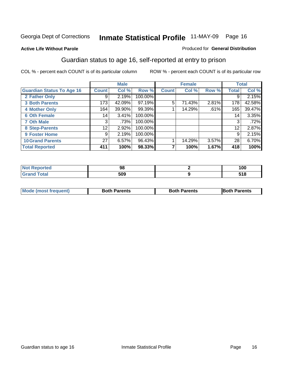#### **Active Life Without Parole**

#### Produced for **General Distribution**

### Guardian status to age 16, self-reported at entry to prison

|                                  |                 | <b>Male</b> |         |              | <b>Female</b> |       |              | <b>Total</b> |
|----------------------------------|-----------------|-------------|---------|--------------|---------------|-------|--------------|--------------|
| <b>Guardian Status To Age 16</b> | <b>Count</b>    | Col %       | Row %   | <b>Count</b> | Col %         | Row % | <b>Total</b> | Col %        |
| 2 Father Only                    | 9               | 2.19%       | 100.00% |              |               |       | 9            | 2.15%        |
| <b>3 Both Parents</b>            | 173             | 42.09%      | 97.19%  | 5            | 71.43%        | 2.81% | 178          | 42.58%       |
| <b>4 Mother Only</b>             | 164             | 39.90%      | 99.39%  |              | 14.29%        | .61%  | 165          | 39.47%       |
| <b>6 Oth Female</b>              | 14              | $3.41\%$    | 100.00% |              |               |       | 14           | 3.35%        |
| <b>7 Oth Male</b>                | 3               | .73%        | 100.00% |              |               |       | 3            | .72%         |
| 8 Step-Parents                   | 12 <sub>1</sub> | 2.92%       | 100.00% |              |               |       | 12           | 2.87%        |
| 9 Foster Home                    | 9               | 2.19%       | 100.00% |              |               |       | 9            | 2.15%        |
| <b>10 Grand Parents</b>          | 27 <sup>1</sup> | 6.57%       | 96.43%  |              | 14.29%        | 3.57% | 28           | 6.70%        |
| <b>Total Reported</b>            | 411             | 100%        | 98.33%  |              | 100%          | 1.67% | 418          | 100%         |

| ະ            | 1 N C<br>טע ו |
|--------------|---------------|
| ≂nn ∍<br>ວບະ | E40<br>סוכ    |

| Mode (most frequent) | <b>Both Parents</b> | <b>Both Parents</b> | <b>IBoth Parents</b> |
|----------------------|---------------------|---------------------|----------------------|
|                      |                     |                     |                      |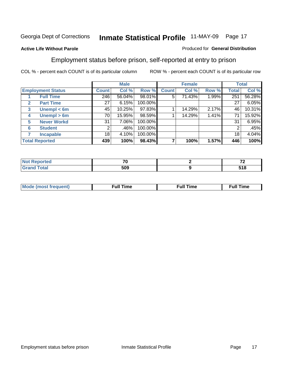#### **Active Life Without Parole**

#### Produced for **General Distribution**

### Employment status before prison, self-reported at entry to prison

|                                  |                    | <b>Male</b> |        | <b>Female</b> |              |        | <b>Total</b> |       |        |
|----------------------------------|--------------------|-------------|--------|---------------|--------------|--------|--------------|-------|--------|
| <b>Employment Status</b>         |                    | Count       | Col %  | Row %         | <b>Count</b> | Col %  | Row %        | Total | Col %  |
| <b>Full Time</b>                 |                    | 246         | 56.04% | 98.01%        | 5            | 71.43% | 1.99%        | 251   | 56.28% |
| <b>Part Time</b><br>$\mathbf{2}$ |                    | 27          | 6.15%  | 100.00%       |              |        |              | 27    | 6.05%  |
| 3                                | Unempl $<$ 6m      | 45          | 10.25% | 97.83%        |              | 14.29% | 2.17%        | 46    | 10.31% |
| 4                                | Unempl $> 6m$      | 70          | 15.95% | 98.59%        |              | 14.29% | 1.41%        | 71    | 15.92% |
| 5                                | <b>Never Workd</b> | 31          | 7.06%  | 100.00%       |              |        |              | 31    | 6.95%  |
| <b>Student</b><br>6              |                    | 2           | .46%   | 100.00%       |              |        |              | 2     | .45%   |
| <b>Incapable</b>                 |                    | 18          | 4.10%  | 100.00%       |              |        |              | 18    | 4.04%  |
| <b>Total Reported</b>            |                    | 439         | 100%   | 98.43%        |              | 100%   | 1.57%        | 446   | 100%   |

| тес.                     | --<br>'U | $\sim$ |
|--------------------------|----------|--------|
| <b>Coto</b> "<br>_______ | 509      | 518    |

| <b>M</b> ດ | the contract of the contract of the contract of the contract of the contract of the contract of the contract of | , ull i<br>ıme<br>the contract of the contract of the contract of the contract of the contract of the contract of the contract of | ïme<br>uı<br>$\sim$ $\sim$ $\sim$ $\sim$ $\sim$ |
|------------|-----------------------------------------------------------------------------------------------------------------|-----------------------------------------------------------------------------------------------------------------------------------|-------------------------------------------------|
|            |                                                                                                                 |                                                                                                                                   |                                                 |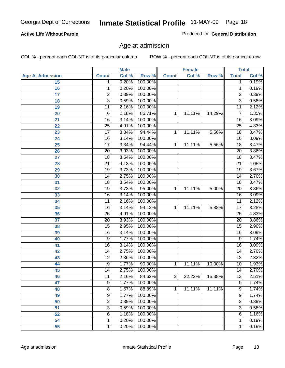#### **Active Life Without Parole**

Produced for **General Distribution**

### Age at admission

|                         |                 | <b>Male</b> |         |                | <b>Female</b> |        |                 | <b>Total</b> |
|-------------------------|-----------------|-------------|---------|----------------|---------------|--------|-----------------|--------------|
| <b>Age At Admission</b> | <b>Count</b>    | Col %       | Row %   | <b>Count</b>   | Col %         | Row %  | <b>Total</b>    | Col %        |
| 15                      | 1               | 0.20%       | 100.00% |                |               |        | 1               | 0.19%        |
| 16                      | 1               | 0.20%       | 100.00% |                |               |        | 1               | 0.19%        |
| $\overline{17}$         | $\overline{c}$  | 0.39%       | 100.00% |                |               |        | 2               | 0.39%        |
| 18                      | $\overline{3}$  | 0.59%       | 100.00% |                |               |        | $\overline{3}$  | 0.58%        |
| 19                      | 11              | 2.16%       | 100.00% |                |               |        | 11              | 2.12%        |
| 20                      | $\overline{6}$  | 1.18%       | 85.71%  | 1              | 11.11%        | 14.29% | $\overline{7}$  | 1.35%        |
| 21                      | $\overline{16}$ | 3.14%       | 100.00% |                |               |        | 16              | 3.09%        |
| 22                      | 25              | 4.91%       | 100.00% |                |               |        | $\overline{25}$ | 4.83%        |
| 23                      | $\overline{17}$ | 3.34%       | 94.44%  | 1              | 11.11%        | 5.56%  | 18              | 3.47%        |
| 24                      | $\overline{16}$ | 3.14%       | 100.00% |                |               |        | 16              | 3.09%        |
| 25                      | $\overline{17}$ | 3.34%       | 94.44%  | 1              | 11.11%        | 5.56%  | $\overline{18}$ | 3.47%        |
| 26                      | $\overline{20}$ | 3.93%       | 100.00% |                |               |        | $\overline{20}$ | 3.86%        |
| 27                      | $\overline{18}$ | 3.54%       | 100.00% |                |               |        | 18              | 3.47%        |
| 28                      | $\overline{21}$ | 4.13%       | 100.00% |                |               |        | $\overline{21}$ | 4.05%        |
| 29                      | $\overline{19}$ | 3.73%       | 100.00% |                |               |        | $\overline{19}$ | 3.67%        |
| 30                      | 14              | 2.75%       | 100.00% |                |               |        | 14              | 2.70%        |
| 31                      | 18              | 3.54%       | 100.00% |                |               |        | 18              | 3.47%        |
| 32                      | 19              | 3.73%       | 95.00%  | 1              | 11.11%        | 5.00%  | 20              | 3.86%        |
| 33                      | $\overline{16}$ | 3.14%       | 100.00% |                |               |        | $\overline{16}$ | 3.09%        |
| 34                      | $\overline{11}$ | 2.16%       | 100.00% |                |               |        | 11              | 2.12%        |
| 35                      | $\overline{16}$ | 3.14%       | 94.12%  | 1              | 11.11%        | 5.88%  | $\overline{17}$ | 3.28%        |
| 36                      | $\overline{25}$ | 4.91%       | 100.00% |                |               |        | $\overline{25}$ | 4.83%        |
| 37                      | $\overline{20}$ | 3.93%       | 100.00% |                |               |        | $\overline{20}$ | 3.86%        |
| 38                      | 15              | 2.95%       | 100.00% |                |               |        | 15              | 2.90%        |
| 39                      | 16              | 3.14%       | 100.00% |                |               |        | 16              | 3.09%        |
| 40                      | $\overline{9}$  | 1.77%       | 100.00% |                |               |        | 9               | 1.74%        |
| 41                      | $\overline{16}$ | 3.14%       | 100.00% |                |               |        | $\overline{16}$ | 3.09%        |
| 42                      | 14              | 2.75%       | 100.00% |                |               |        | 14              | 2.70%        |
| 43                      | $\overline{12}$ | 2.36%       | 100.00% |                |               |        | $\overline{12}$ | 2.32%        |
| 44                      | $\overline{9}$  | 1.77%       | 90.00%  | 1              | 11.11%        | 10.00% | 10              | 1.93%        |
| 45                      | 14              | 2.75%       | 100.00% |                |               |        | $\overline{14}$ | 2.70%        |
| 46                      | 11              | 2.16%       | 84.62%  | 2              | 22.22%        | 15.38% | 13              | 2.51%        |
| 47                      | $\overline{9}$  | 1.77%       | 100.00% |                |               |        | $\overline{9}$  | 1.74%        |
| 48                      | $\overline{8}$  | 1.57%       | 88.89%  | $\overline{1}$ | 11.11%        | 11.11% | 9               | 1.74%        |
| 49                      | $\overline{9}$  | 1.77%       | 100.00% |                |               |        | 9               | 1.74%        |
| 50                      | 2               | 0.39%       | 100.00% |                |               |        | $\overline{c}$  | 0.39%        |
| 51                      | $\overline{3}$  | 0.59%       | 100.00% |                |               |        | $\overline{3}$  | 0.58%        |
| 52                      | $\overline{6}$  | 1.18%       | 100.00% |                |               |        | 6               | 1.16%        |
| 54                      | 1               | 0.20%       | 100.00% |                |               |        | 1               | 0.19%        |
| 55                      | $\mathbf{1}$    | 0.20%       | 100.00% |                |               |        | 1               | 0.19%        |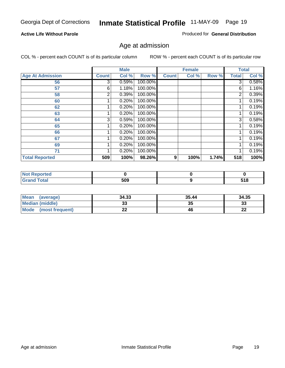#### **Active Life Without Parole**

Produced for **General Distribution**

### Age at admission

|                         |              | <b>Male</b> |         |              | <b>Female</b> |       |                | <b>Total</b> |
|-------------------------|--------------|-------------|---------|--------------|---------------|-------|----------------|--------------|
| <b>Age At Admission</b> | <b>Count</b> | Col %       | Row %   | <b>Count</b> | Col %         | Row % | <b>Total</b>   | Col %        |
| 56                      | 3            | 0.59%       | 100.00% |              |               |       | 3              | 0.58%        |
| 57                      | 6            | 1.18%       | 100.00% |              |               |       | 6              | 1.16%        |
| 58                      | 2            | 0.39%       | 100.00% |              |               |       | $\overline{2}$ | 0.39%        |
| 60                      |              | 0.20%       | 100.00% |              |               |       |                | 0.19%        |
| 62                      |              | 0.20%       | 100.00% |              |               |       |                | 0.19%        |
| 63                      |              | 0.20%       | 100.00% |              |               |       |                | 0.19%        |
| 64                      | 3            | 0.59%       | 100.00% |              |               |       | 3              | 0.58%        |
| 65                      |              | 0.20%       | 100.00% |              |               |       |                | 0.19%        |
| 66                      |              | 0.20%       | 100.00% |              |               |       |                | 0.19%        |
| 67                      |              | 0.20%       | 100.00% |              |               |       |                | 0.19%        |
| 69                      |              | 0.20%       | 100.00% |              |               |       | 1              | 0.19%        |
| 71                      |              | 0.20%       | 100.00% |              |               |       |                | 0.19%        |
| <b>Total Reported</b>   | 509          | 100%        | 98.26%  | 9            | 100%          | 1.74% | 518            | 100%         |

| rted           |     |     |
|----------------|-----|-----|
| `otal<br>_____ | 509 | 518 |

| <b>Mean</b><br>(average)       | 34.33 | 35.44 | 34.35    |
|--------------------------------|-------|-------|----------|
| <b>Median (middle)</b>         |       | 35    | າາ<br>ند |
| <b>Mode</b><br>(most frequent) | --    | 46    | n,<br>LL |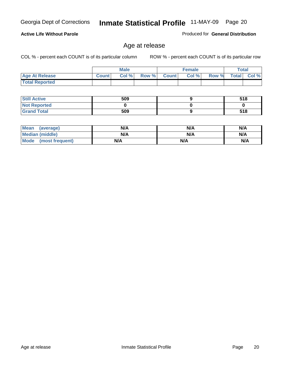#### **Active Life Without Parole**

Produced for **General Distribution**

### Age at release

|                       |              | <b>Male</b> |       |              | <b>Female</b> |       | Total        |          |
|-----------------------|--------------|-------------|-------|--------------|---------------|-------|--------------|----------|
| <b>Age At Release</b> | <b>Count</b> | Col%        | Row % | <b>Count</b> | Col %         | Row % | <b>Total</b> | Col $\%$ |
| <b>Total Reported</b> |              |             |       |              |               |       |              |          |

| <b>Still Active</b> | 509 | 518 |
|---------------------|-----|-----|
| <b>Not Reported</b> |     |     |
| <b>Grand Total</b>  | 509 | 518 |

| Mean<br>(average)    | N/A | N/A | N/A |
|----------------------|-----|-----|-----|
| Median (middle)      | N/A | N/A | N/A |
| Mode (most frequent) | N/A | N/A | N/A |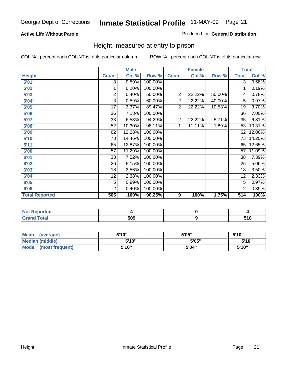#### **Active Life Without Parole**

#### Produced for **General Distribution**

### Height, measured at entry to prison

|                       |                         | <b>Male</b> |         |                | <b>Female</b> |        | <b>Total</b>    |        |
|-----------------------|-------------------------|-------------|---------|----------------|---------------|--------|-----------------|--------|
| <b>Height</b>         | <b>Count</b>            | Col %       | Row %   | <b>Count</b>   | Col %         | Row %  | <b>Total</b>    | Col %  |
| 5'01''                | $\overline{3}$          | 0.59%       | 100.00% |                |               |        | $\overline{3}$  | 0.58%  |
| 5'02"                 | 1                       | 0.20%       | 100.00% |                |               |        | 1               | 0.19%  |
| 5'03"                 | $\overline{\mathbf{c}}$ | 0.40%       | 50.00%  | $\overline{2}$ | 22.22%        | 50.00% | 4               | 0.78%  |
| 5'04"                 | 3                       | 0.59%       | 60.00%  | $\overline{2}$ | 22.22%        | 40.00% | 5               | 0.97%  |
| 5'05"                 | 17                      | 3.37%       | 89.47%  | $\overline{2}$ | 22.22%        | 10.53% | 19              | 3.70%  |
| 5'06"                 | 36                      | 7.13%       | 100.00% |                |               |        | $\overline{36}$ | 7.00%  |
| 5'07''                | 33                      | 6.53%       | 94.29%  | $\overline{2}$ | 22.22%        | 5.71%  | 35              | 6.81%  |
| 5'08"                 | 52                      | 10.30%      | 98.11%  | 1              | 11.11%        | 1.89%  | 53              | 10.31% |
| <b>5'09"</b>          | 62                      | 12.28%      | 100.00% |                |               |        | 62              | 12.06% |
| 5'10''                | 73                      | 14.46%      | 100.00% |                |               |        | 73              | 14.20% |
| 5'11''                | 65                      | 12.87%      | 100.00% |                |               |        | 65              | 12.65% |
| 6'00"                 | $\overline{57}$         | 11.29%      | 100.00% |                |               |        | 57              | 11.09% |
| 6'01''                | 38                      | 7.52%       | 100.00% |                |               |        | 38              | 7.39%  |
| 6'02"                 | 26                      | 5.15%       | 100.00% |                |               |        | 26              | 5.06%  |
| 6'03"                 | 18                      | 3.56%       | 100.00% |                |               |        | 18              | 3.50%  |
| 6'04"                 | 12                      | 2.38%       | 100.00% |                |               |        | 12              | 2.33%  |
| 6'05"                 | 5                       | 0.99%       | 100.00% |                |               |        | 5               | 0.97%  |
| 6'06"                 | $\overline{2}$          | 0.40%       | 100.00% |                |               |        | 2               | 0.39%  |
| <b>Total Reported</b> | 505                     | 100%        | 98.25%  | 9              | 100%          | 1.75%  | 514             | 100%   |

| τeα<br>. |     |  |
|----------|-----|--|
| _____    | 509 |  |

| <b>Mean</b><br>(average)       | 5'10" | 5'05" | 5'10" |
|--------------------------------|-------|-------|-------|
| Median (middle)                | 5'10" | 5'05" | 5'10" |
| <b>Mode</b><br>(most frequent) | 5'10" | 5'04" | 5'10" |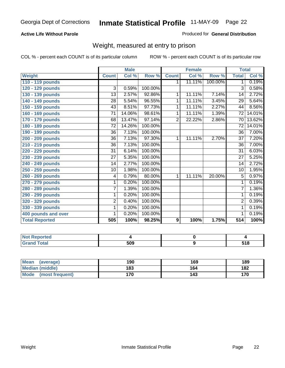#### **Active Life Without Parole**

#### Produced for **General Distribution**

### Weight, measured at entry to prison

|                       |                 | <b>Male</b> |         |                | <b>Female</b> |         | <b>Total</b>    |        |
|-----------------------|-----------------|-------------|---------|----------------|---------------|---------|-----------------|--------|
| <b>Weight</b>         | <b>Count</b>    | Col %       | Row %   | <b>Count</b>   | Col %         | Row %   | <b>Total</b>    | Col %  |
| 110 - 119 pounds      |                 |             |         | 1.             | 11.11%        | 100.00% | 1               | 0.19%  |
| 120 - 129 pounds      | 3               | 0.59%       | 100.00% |                |               |         | 3               | 0.58%  |
| 130 - 139 pounds      | 13              | 2.57%       | 92.86%  | 1              | 11.11%        | 7.14%   | 14              | 2.72%  |
| 140 - 149 pounds      | $\overline{28}$ | 5.54%       | 96.55%  | 1              | 11.11%        | 3.45%   | $\overline{29}$ | 5.64%  |
| 150 - 159 pounds      | 43              | 8.51%       | 97.73%  | 1              | 11.11%        | 2.27%   | 44              | 8.56%  |
| 160 - 169 pounds      | 71              | 14.06%      | 98.61%  | 1              | 11.11%        | 1.39%   | 72              | 14.01% |
| 170 - 179 pounds      | 68              | 13.47%      | 97.14%  | $\overline{2}$ | 22.22%        | 2.86%   | 70              | 13.62% |
| 180 - 189 pounds      | 72              | 14.26%      | 100.00% |                |               |         | 72              | 14.01% |
| 190 - 199 pounds      | 36              | 7.13%       | 100.00% |                |               |         | 36              | 7.00%  |
| 200 - 209 pounds      | 36              | 7.13%       | 97.30%  | 1              | 11.11%        | 2.70%   | 37              | 7.20%  |
| 210 - 219 pounds      | $\overline{36}$ | 7.13%       | 100.00% |                |               |         | 36              | 7.00%  |
| 220 - 229 pounds      | $\overline{31}$ | 6.14%       | 100.00% |                |               |         | $\overline{31}$ | 6.03%  |
| 230 - 239 pounds      | 27              | 5.35%       | 100.00% |                |               |         | 27              | 5.25%  |
| 240 - 249 pounds      | 14              | 2.77%       | 100.00% |                |               |         | 14              | 2.72%  |
| 250 - 259 pounds      | 10              | 1.98%       | 100.00% |                |               |         | 10              | 1.95%  |
| 260 - 269 pounds      | 4               | 0.79%       | 80.00%  | 1              | 11.11%        | 20.00%  | 5               | 0.97%  |
| 270 - 279 pounds      | 1               | 0.20%       | 100.00% |                |               |         | 1               | 0.19%  |
| 280 - 289 pounds      | $\overline{7}$  | 1.39%       | 100.00% |                |               |         | 7               | 1.36%  |
| 290 - 299 pounds      | 1               | 0.20%       | 100.00% |                |               |         | 1               | 0.19%  |
| 320 - 329 pounds      | $\overline{2}$  | 0.40%       | 100.00% |                |               |         | $\overline{2}$  | 0.39%  |
| 330 - 339 pounds      | $\mathbf{1}$    | 0.20%       | 100.00% |                |               |         | 1               | 0.19%  |
| 400 pounds and over   | 1               | 0.20%       | 100.00% |                |               |         | $\overline{1}$  | 0.19%  |
| <b>Total Reported</b> | 505             | 100%        | 98.25%  | 9              | 100%          | 1.75%   | 514             | 100%   |

| Reported<br><b>NOT</b> |     |              |
|------------------------|-----|--------------|
| 'otal                  | 509 | E40<br>ວ ເ ໐ |

| <b>Mean</b><br>(average)       | 190 | 169 | 189 |
|--------------------------------|-----|-----|-----|
| Median (middle)                | 183 | 164 | 182 |
| <b>Mode</b><br>(most frequent) | 170 | 143 | 170 |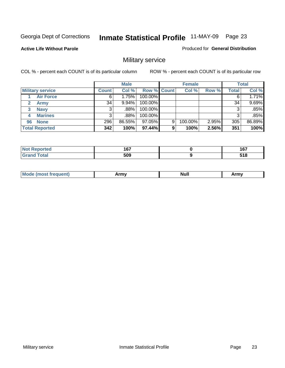Produced for **General Distribution**

#### **Active Life Without Parole**

### Military service

|                         |              | <b>Male</b> |             |   | <b>Female</b> |          |              | <b>Total</b> |
|-------------------------|--------------|-------------|-------------|---|---------------|----------|--------------|--------------|
| <b>Military service</b> | <b>Count</b> | Col %       | Row % Count |   | Col %         | Row %    | <b>Total</b> | Col %        |
| <b>Air Force</b>        | 6            | 1.75%       | 100.00%     |   |               |          | 6            | 1.71%        |
| <b>Army</b>             | 34           | $9.94\%$    | 100.00%     |   |               |          | 34           | 9.69%        |
| <b>Navy</b><br>3        |              | .88%        | 100.00%     |   |               |          | 3            | .85%         |
| <b>Marines</b><br>4     | 3            | .88%        | 100.00%     |   |               |          | 3            | .85%         |
| 96 None                 | 296          | 86.55%      | 97.05%      | 9 | 100.00%       | $2.95\%$ | 305          | 86.89%       |
| <b>Total Reported</b>   | 342          | 100%        | 97.44%      | 9 | 100%          | 2.56%    | 351          | 100%         |

| المستحققات<br>Ter. | 1 C 7<br>ו שי<br>$\sim$ | - - -<br>י ט ו<br>___ |
|--------------------|-------------------------|-----------------------|
| Cotot              | 509                     | E40<br><u>JIU</u>     |

| M<br><b>IVUII</b><br>.<br>. |
|-----------------------------|
|-----------------------------|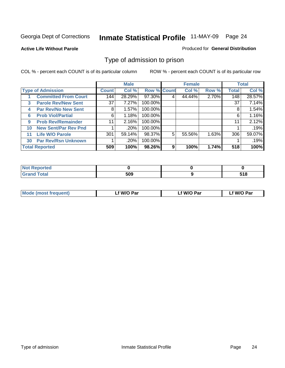#### **Active Life Without Parole**

#### Produced for **General Distribution**

### Type of admission to prison

|              |                             |                 | <b>Male</b> |                    |   | <b>Female</b> |       |              | <b>Total</b> |
|--------------|-----------------------------|-----------------|-------------|--------------------|---|---------------|-------|--------------|--------------|
|              | <b>Type of Admission</b>    | <b>Count</b>    | Col %       | <b>Row % Count</b> |   | Col %         | Row % | <b>Total</b> | Col %        |
|              | <b>Committed From Court</b> | 144             | 28.29%      | 97.30%             |   | 44.44%        | 2.70% | 148          | 28.57%       |
| $\mathbf{3}$ | <b>Parole Rev/New Sent</b>  | 37 <sup>1</sup> | 7.27%       | 100.00%            |   |               |       | 37           | 7.14%        |
| 4            | <b>Par Rev/No New Sent</b>  | 8               | 1.57%       | 100.00%            |   |               |       | 8            | 1.54%        |
| 6            | <b>Prob Viol/Partial</b>    | 6               | 1.18%       | 100.00%            |   |               |       | 6            | 1.16%        |
| 9            | <b>Prob Rev/Remainder</b>   | 11              | 2.16%       | 100.00%            |   |               |       | 11           | 2.12%        |
| 10           | <b>New Sent/Par Rev Pnd</b> |                 | .20%        | 100.00%            |   |               |       |              | .19%         |
| 11           | <b>Life W/O Parole</b>      | 301             | 59.14%      | 98.37%             | 5 | 55.56%        | 1.63% | 306          | 59.07%       |
| 30           | <b>Par Rev/Rsn Unknown</b>  |                 | .20%        | 100.00%            |   |               |       |              | .19%         |
|              | <b>Total Reported</b>       | 509             | 100%        | 98.26%             | 9 | 100%          | 1.74% | 518          | 100%         |

| <b>Reported</b><br>NOT                                 |            |              |
|--------------------------------------------------------|------------|--------------|
| <b>Total</b><br><b>Cre</b><br>$\sim$ . $\sim$ . $\sim$ | cnn<br>วบะ | E40<br>J I U |

| <b>Mode (most frequent)</b> | <b>W/O Par</b> | <b>W/O Par</b> | W/O Par |
|-----------------------------|----------------|----------------|---------|
|                             |                |                |         |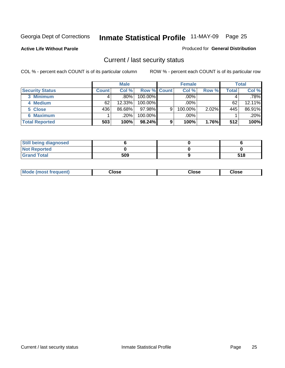**Active Life Without Parole** 

Produced for **General Distribution**

### Current / last security status

|                        |              | <b>Male</b> |                    |   | <b>Female</b> |       |       | <b>Total</b> |
|------------------------|--------------|-------------|--------------------|---|---------------|-------|-------|--------------|
| <b>Security Status</b> | <b>Count</b> | Col %       | <b>Row % Count</b> |   | Col %         | Row % | Total | Col %        |
| 3 Minimum              |              | $.80\%$     | $100.00\%$         |   | .00%          |       |       | $.78\%$      |
| 4 Medium               | 62           | 12.33%      | 100.00%            |   | $.00\%$       |       | 62    | 12.11%       |
| 5 Close                | 436          | 86.68%      | 97.98%             | 9 | 100.00%       | 2.02% | 445   | 86.91%       |
| <b>6 Maximum</b>       |              | .20%        | 100.00%            |   | .00%          |       |       | .20%         |
| <b>Total Reported</b>  | 503          | 100%        | 98.24%             | 9 | 100%          | 1.76% | 512   | 100%         |

| <b>Still being diagnosed</b> |     |     |
|------------------------------|-----|-----|
| <b>Not Reported</b>          |     |     |
| <b>Grand Total</b>           | 509 | 518 |

|  | Mo<br>frequent)<br>ww | Close<br>. | ∵lose<br>. | <b>OSE</b><br>. |
|--|-----------------------|------------|------------|-----------------|
|--|-----------------------|------------|------------|-----------------|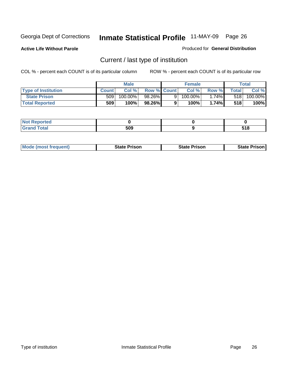**Active Life Without Parole** 

Produced for **General Distribution**

### Current / last type of institution

|                            |              | <b>Male</b> |                    |    | <b>Female</b> |                |        | Total   |
|----------------------------|--------------|-------------|--------------------|----|---------------|----------------|--------|---------|
| <b>Type of Institution</b> | <b>Count</b> | Col%        | <b>Row % Count</b> |    | Col %         | Row %I         | Totall | Col %   |
| <b>State Prison</b>        | 509          | 100.00%     | 98.26%             | 9. | $100.00\%$    | 1.74% <b>I</b> | 518    | 100.00% |
| <b>Total Reported</b>      | 509          | 100%        | 98.26%             |    | 100%          | 1.74%          | 518    | 100%    |

| <b>rted</b><br>. |                   |      |
|------------------|-------------------|------|
| $-100$           | <b>EOO</b><br>JU. | 54 O |

|  | <b>Mode (most frequent)</b> | State Prison | <b>State Prison</b> | <b>State Prison</b> |
|--|-----------------------------|--------------|---------------------|---------------------|
|--|-----------------------------|--------------|---------------------|---------------------|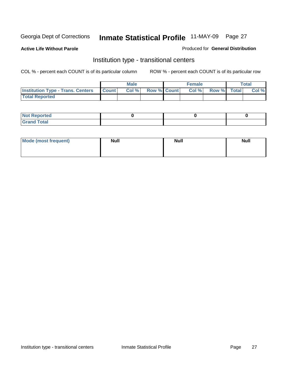**Active Life Without Parole** 

Produced for **General Distribution**

### Institution type - transitional centers

|                                          |              | <b>Male</b> |                    | <b>Female</b> |             | <b>Total</b> |
|------------------------------------------|--------------|-------------|--------------------|---------------|-------------|--------------|
| <b>Institution Type - Trans. Centers</b> | <b>Count</b> | Col %       | <b>Row % Count</b> | Col %         | Row % Total | Col %        |
| <b>Total Reported</b>                    |              |             |                    |               |             |              |

| rtea<br>20 NGL 2<br>  |  |  |
|-----------------------|--|--|
| into!<br>---<br>_____ |  |  |

| Mode (most frequent) | <b>Null</b> | <b>Null</b> | <b>Null</b> |
|----------------------|-------------|-------------|-------------|
|                      |             |             |             |
|                      |             |             |             |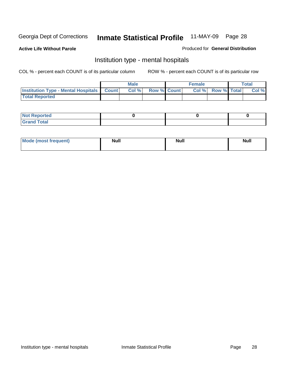**Active Life Without Parole** 

Produced for **General Distribution**

### Institution type - mental hospitals

|                                                  | <b>Male</b> |                    | <b>Female</b> |                   | <b>Total</b> |
|--------------------------------------------------|-------------|--------------------|---------------|-------------------|--------------|
| <b>Institution Type - Mental Hospitals Count</b> | Col%        | <b>Row % Count</b> |               | Col % Row % Total | Col %        |
| <b>Total Reported</b>                            |             |                    |               |                   |              |

| <b>Not Reported</b> |  |  |
|---------------------|--|--|
| <b>Total</b><br>Cro |  |  |

| Mode (most frequent) | <b>Null</b> | <b>Null</b> | <b>Null</b> |
|----------------------|-------------|-------------|-------------|
|                      |             |             |             |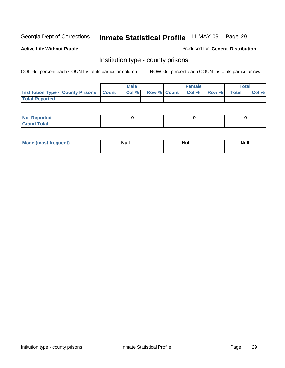**Active Life Without Parole** 

Produced for **General Distribution**

### Institution type - county prisons

|                                                    | <b>Male</b> |  | <b>Female</b>            |              |       | Total |
|----------------------------------------------------|-------------|--|--------------------------|--------------|-------|-------|
| <b>Institution Type - County Prisons   Count  </b> | Col %       |  | <b>Row % Count Col %</b> | <b>Row %</b> | Total | Col % |
| <b>Total Reported</b>                              |             |  |                          |              |       |       |

| <b>Not</b><br><b>Reported</b> |  |  |
|-------------------------------|--|--|
| <b>Grand Total</b>            |  |  |

| <b>Mo</b><br>frequent) | NI. . II<br>1u 11 | <b>Moll</b> | <b>Null</b> |
|------------------------|-------------------|-------------|-------------|
|                        |                   |             |             |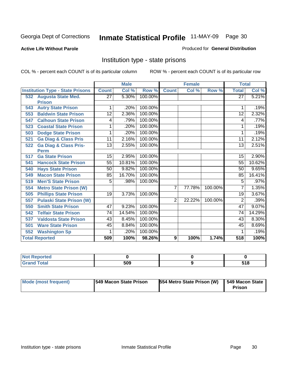#### **Active Life Without Parole**

#### Produced for **General Distribution**

### Institution type - state prisons

|     |                                         | <b>Male</b>     |        | <b>Female</b> |                |        | <b>Total</b> |                 |        |
|-----|-----------------------------------------|-----------------|--------|---------------|----------------|--------|--------------|-----------------|--------|
|     | <b>Institution Type - State Prisons</b> | <b>Count</b>    | Col %  | Row %         | <b>Count</b>   | Col %  | Row %        | <b>Total</b>    | Col %  |
|     | 532 Augusta State Med.                  | $\overline{27}$ | 5.30%  | 100.00%       |                |        |              | $\overline{27}$ | 5.21%  |
|     | <b>Prison</b>                           |                 |        |               |                |        |              |                 |        |
| 543 | <b>Autry State Prison</b>               |                 | .20%   | 100.00%       |                |        |              |                 | .19%   |
| 553 | <b>Baldwin State Prison</b>             | 12              | 2.36%  | 100.00%       |                |        |              | 12              | 2.32%  |
| 547 | <b>Calhoun State Prison</b>             | 4               | .79%   | 100.00%       |                |        |              | 4               | .77%   |
| 523 | <b>Coastal State Prison</b>             | 1               | .20%   | 100.00%       |                |        |              |                 | .19%   |
| 503 | <b>Dodge State Prison</b>               | 1               | .20%   | 100.00%       |                |        |              | 1               | .19%   |
| 521 | <b>Ga Diag &amp; Class Pris</b>         | 11              | 2.16%  | 100.00%       |                |        |              | 11              | 2.12%  |
| 522 | <b>Ga Diag &amp; Class Pris-</b>        | 13              | 2.55%  | 100.00%       |                |        |              | 13              | 2.51%  |
|     | <b>Perm</b>                             |                 |        |               |                |        |              |                 |        |
| 517 | <b>Ga State Prison</b>                  | 15              | 2.95%  | 100.00%       |                |        |              | 15              | 2.90%  |
| 541 | <b>Hancock State Prison</b>             | 55              | 10.81% | 100.00%       |                |        |              | 55              | 10.62% |
| 540 | <b>Hays State Prison</b>                | 50              | 9.82%  | 100.00%       |                |        |              | 50              | 9.65%  |
| 549 | <b>Macon State Prison</b>               | 85              | 16.70% | 100.00%       |                |        |              | 85              | 16.41% |
| 519 | <b>Men'S State Prison</b>               | 5               | .98%   | 100.00%       |                |        |              | 5               | .97%   |
| 554 | <b>Metro State Prison (W)</b>           |                 |        |               | 7              | 77.78% | 100.00%      | 7               | 1.35%  |
| 505 | <b>Phillips State Prison</b>            | 19              | 3.73%  | 100.00%       |                |        |              | 19              | 3.67%  |
| 557 | <b>Pulaski State Prison (W)</b>         |                 |        |               | $\overline{2}$ | 22.22% | 100.00%      | 2               | .39%   |
| 550 | <b>Smith State Prison</b>               | 47              | 9.23%  | 100.00%       |                |        |              | 47              | 9.07%  |
| 542 | <b>Telfair State Prison</b>             | 74              | 14.54% | 100.00%       |                |        |              | 74              | 14.29% |
| 537 | <b>Valdosta State Prison</b>            | 43              | 8.45%  | 100.00%       |                |        |              | 43              | 8.30%  |
| 501 | <b>Ware State Prison</b>                | 45              | 8.84%  | 100.00%       |                |        |              | 45              | 8.69%  |
| 552 | <b>Washington Sp</b>                    | 1               | .20%   | 100.00%       |                |        |              | 1               | .19%   |
|     | <b>Total Reported</b>                   | 509             | 100%   | 98.26%        | 9              | 100%   | 1.74%        | 518             | 100%   |

| . Reported<br>$\sim$ |     |              |
|----------------------|-----|--------------|
| <b>c</b> otal        | 509 | -46<br>v I u |

| Mode (most frequent) | 1549 Macon State Prison | <b>554 Metro State Prison (W)</b> | 549 Macon State<br><b>Prison</b> |
|----------------------|-------------------------|-----------------------------------|----------------------------------|
|----------------------|-------------------------|-----------------------------------|----------------------------------|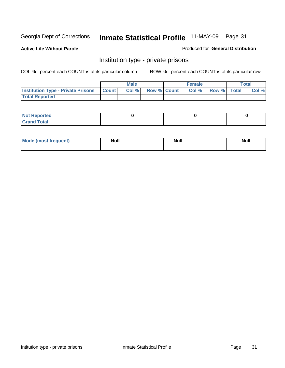**Active Life Without Parole** 

Produced for **General Distribution**

### Institution type - private prisons

|                                                     | <b>Male</b> |                    | <b>Female</b> |             | Total |
|-----------------------------------------------------|-------------|--------------------|---------------|-------------|-------|
| <b>Institution Type - Private Prisons   Count  </b> | Col %       | <b>Row % Count</b> | Col %         | Row % Total | Col % |
| <b>Total Reported</b>                               |             |                    |               |             |       |

| <b>Not Reported</b>        |  |  |
|----------------------------|--|--|
| <b>otal</b><br>. Gror<br>. |  |  |

| Mode (most frequent) | <b>Null</b> | <b>Null</b> | <b>Null</b> |
|----------------------|-------------|-------------|-------------|
|                      |             |             |             |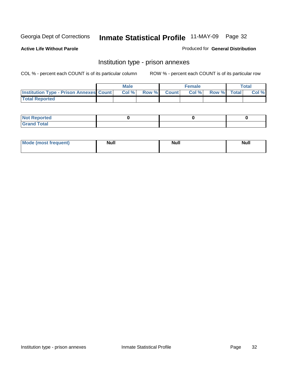**Active Life Without Parole** 

Produced for **General Distribution**

### Institution type - prison annexes

|                                                  | <b>Male</b> |             | <b>Female</b> |             | Total |
|--------------------------------------------------|-------------|-------------|---------------|-------------|-------|
| <b>Institution Type - Prison Annexes Count  </b> | Col %       | Row % Count | Col %         | Row % Total | Col % |
| <b>Total Reported</b>                            |             |             |               |             |       |

| <b>Not Reported</b>        |  |  |
|----------------------------|--|--|
| <b>Total</b><br>-<br>_____ |  |  |

| Mode (most frequent) | <b>Null</b> | <b>Null</b> | <b>Null</b> |
|----------------------|-------------|-------------|-------------|
|                      |             |             |             |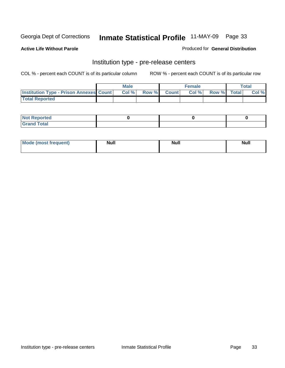**Active Life Without Parole** 

Produced for **General Distribution**

#### Institution type - pre-release centers

|                                                | <b>Male</b> |                    | <b>Female</b> |             | <b>Total</b> |
|------------------------------------------------|-------------|--------------------|---------------|-------------|--------------|
| <b>Institution Type - Prison Annexes Count</b> | Col %       | <b>Row % Count</b> | Col %         | Row % Total | Col %        |
| <b>Total Reported</b>                          |             |                    |               |             |              |

| <b>Not</b><br><b>Reported</b>    |  |  |
|----------------------------------|--|--|
| <b>Total</b><br>Gran<br>$\sim$ . |  |  |

| Mode (most frequent) | <b>Null</b> | <b>Null</b> | <b>Null</b> |
|----------------------|-------------|-------------|-------------|
|                      |             |             |             |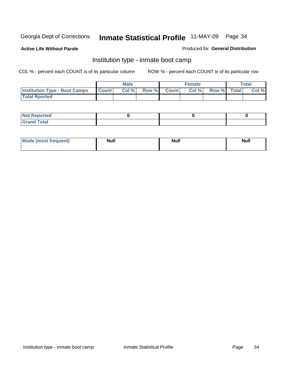**Active Life Without Parole** 

Produced for **General Distribution**

### Institution type - inmate boot camp

|                                      |              | Male  |             | <b>Female</b> |             | <b>Total</b> |
|--------------------------------------|--------------|-------|-------------|---------------|-------------|--------------|
| <b>Institution Type - Boot Camps</b> | <b>Count</b> | Col % | Row % Count | Col%          | Row % Total | Col %        |
| <b>Total Rported</b>                 |              |       |             |               |             |              |

| <b>Not Reported</b>  |  |  |
|----------------------|--|--|
| <b>Total</b><br>Croy |  |  |

| Mode (most frequent) | <b>Null</b> | <b>Null</b> | <b>Null</b> |
|----------------------|-------------|-------------|-------------|
|                      |             |             |             |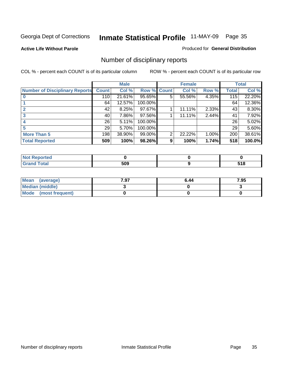#### **Active Life Without Parole**

#### Produced for **General Distribution**

### Number of disciplinary reports

|                                       |              | <b>Male</b> |             |   | <b>Female</b> |       |              | <b>Total</b> |
|---------------------------------------|--------------|-------------|-------------|---|---------------|-------|--------------|--------------|
| <b>Number of Disciplinary Reports</b> | <b>Count</b> | Col %       | Row % Count |   | Col %         | Row % | <b>Total</b> | Col %        |
|                                       | 110          | 21.61%      | 95.65%      | 5 | 55.56%        | 4.35% | 115          | 22.20%       |
|                                       | 64           | 12.57%      | 100.00%     |   |               |       | 64           | 12.36%       |
|                                       | 42           | 8.25%       | 97.67%      |   | 11.11%        | 2.33% | 43           | 8.30%        |
| 3                                     | 40           | 7.86%       | 97.56%      |   | 11.11%        | 2.44% | 41           | 7.92%        |
|                                       | 26           | 5.11%       | 100.00%     |   |               |       | 26           | 5.02%        |
| 5                                     | 29           | 5.70%       | 100.00%     |   |               |       | 29           | 5.60%        |
| <b>More Than 5</b>                    | 198          | 38.90%      | 99.00%      | 2 | 22.22%        | 1.00% | 200          | 38.61%       |
| <b>Total Reported</b>                 | 509          | 100%        | 98.26%      | 9 | 100%          | 1.74% | 518          | 100.0%       |

| N<br>тес.        |     |           |
|------------------|-----|-----------|
| $T_{\Delta}$ ini | 509 | .<br>$ -$ |

| Mean (average)       | 7.97 | 6.44 | 7.95 |
|----------------------|------|------|------|
| Median (middle)      |      |      |      |
| Mode (most frequent) |      |      |      |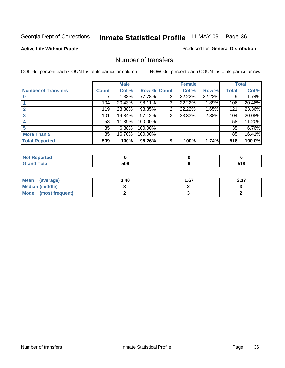#### **Active Life Without Parole**

#### Produced for **General Distribution**

#### Number of transfers

|                            |                 | <b>Male</b> |         |              | <b>Female</b> |        |              | <b>Total</b> |
|----------------------------|-----------------|-------------|---------|--------------|---------------|--------|--------------|--------------|
| <b>Number of Transfers</b> | Count l         | Col %       | Row %   | <b>Count</b> | Col %         | Row %  | <b>Total</b> | Col %        |
|                            |                 | 1.38%       | 77.78%  | 2            | 22.22%        | 22.22% | 9            | 1.74%        |
|                            | 104             | 20.43%      | 98.11%  | 2            | 22.22%        | 1.89%  | 106          | 20.46%       |
|                            | 119             | 23.38%      | 98.35%  | 2            | 22.22%        | 1.65%  | 121          | 23.36%       |
|                            | 101             | 19.84%      | 97.12%  | 3            | 33.33%        | 2.88%  | 104          | 20.08%       |
|                            | 58              | 11.39%      | 100.00% |              |               |        | 58           | 11.20%       |
|                            | 35 <sup>1</sup> | 6.88%       | 100.00% |              |               |        | 35           | 6.76%        |
| <b>More Than 5</b>         | 85              | 16.70%      | 100.00% |              |               |        | 85           | 16.41%       |
| <b>Total Reported</b>      | 509             | 100%        | 98.26%  | 9            | 100%          | 1.74%  | 518          | 100.0%       |

| N<br>тес       |             |                                  |
|----------------|-------------|----------------------------------|
| $T_{\text{S}}$ | 509<br>$ -$ | . .<br>.<br>טוע<br>$\sim$ $\sim$ |

| Mean (average)       | 3.40 | l .67 | 3.37 |
|----------------------|------|-------|------|
| Median (middle)      |      |       |      |
| Mode (most frequent) |      |       |      |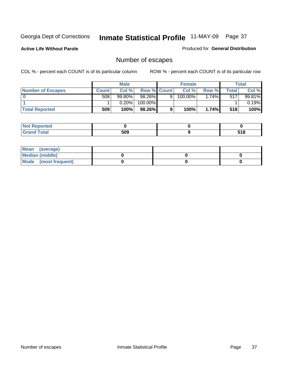**Active Life Without Parole** 

Produced for **General Distribution**

# Number of escapes

|                       |         | <b>Male</b> |                    |   | <b>Female</b> |         |       | <b>Total</b> |
|-----------------------|---------|-------------|--------------------|---|---------------|---------|-------|--------------|
| Number of Escapes     | Count l | Col %       | <b>Row % Count</b> |   | Col %         | Row %   | Total | Col %        |
|                       | 508     | $99.80\%$   | 98.26%             | 9 | 100.00%       | $.74\%$ | 517   | 99.81%       |
|                       |         | 0.20%       | 100.00%            |   |               |         |       | 0.19%        |
| <b>Total Reported</b> | 509     | 100%        | $98.26\%$          |   | 100%          | 1.74%   | 518   | 100%         |

| тео                             |     |            |
|---------------------------------|-----|------------|
| <b>otal</b><br>$\mathbf{v}$ and | 509 | E40<br>JIU |

| Mean (average)       |  |  |
|----------------------|--|--|
| Median (middle)      |  |  |
| Mode (most frequent) |  |  |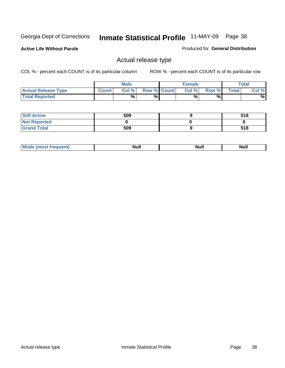**Active Life Without Parole** 

Produced for **General Distribution**

### Actual release type

|                            |              | <b>Male</b> |                    | <b>Female</b> |        |              | $\tau$ otal |
|----------------------------|--------------|-------------|--------------------|---------------|--------|--------------|-------------|
| <b>Actual Release Type</b> | <b>Count</b> | Col %1      | <b>Row % Count</b> | Col %1        | Row %I | <b>Total</b> | Col %       |
| <b>Total Reported</b>      |              | $\%$        | %                  | %             | %      |              | %           |

| <b>Still Active</b> | 509 | 518 |
|---------------------|-----|-----|
| <b>Not Reported</b> |     |     |
| <b>Grand Total</b>  | 509 | 518 |

| M<br>_____<br>_____ | NI | Null | $\cdots$ |
|---------------------|----|------|----------|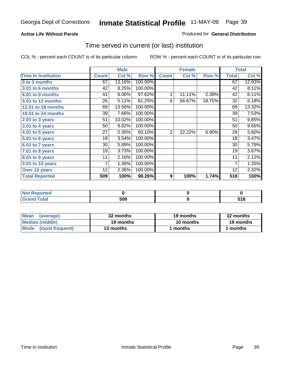### **Active Life Without Parole**

### Produced for **General Distribution**

### Time served in current (or last) institution

|                            |              | <b>Male</b> |         |                  | <b>Female</b> |        |                | <b>Total</b> |
|----------------------------|--------------|-------------|---------|------------------|---------------|--------|----------------|--------------|
| <b>Time In Institution</b> | <b>Count</b> | Col %       | Row %   | <b>Count</b>     | Col %         | Row %  | <b>Total</b>   | Col %        |
| 0 to 3 months              | 67           | 13.16%      | 100.00% |                  |               |        | 67             | 12.93%       |
| <b>3.01 to 6 months</b>    | 42           | 8.25%       | 100.00% |                  |               |        | 42             | 8.11%        |
| 6.01 to 9 months           | 41           | 8.06%       | 97.62%  | 1                | 11.11%        | 2.38%  | 42             | 8.11%        |
| 9.01 to 12 months          | 26           | 5.11%       | 81.25%  | 6                | 66.67%        | 18.75% | 32             | 6.18%        |
| 12.01 to 18 months         | 69           | 13.56%      | 100.00% |                  |               |        | 69             | 13.32%       |
| 18.01 to 24 months         | 39           | 7.66%       | 100.00% |                  |               |        | 39             | 7.53%        |
| 2.01 to 3 years            | 51           | 10.02%      | 100.00% |                  |               |        | 51             | 9.85%        |
| $3.01$ to 4 years          | 50           | 9.82%       | 100.00% |                  |               |        | 50             | 9.65%        |
| 4.01 to 5 years            | 27           | 5.30%       | 93.10%  | $\overline{2}$   | 22.22%        | 6.90%  | 29             | 5.60%        |
| 5.01 to 6 years            | 18           | 3.54%       | 100.00% |                  |               |        | 18             | 3.47%        |
| 6.01 to 7 years            | 30           | 5.89%       | 100.00% |                  |               |        | 30             | 5.79%        |
| 7.01 to 8 years            | 19           | 3.73%       | 100.00% |                  |               |        | 19             | 3.67%        |
| 8.01 to 9 years            | 11           | 2.16%       | 100.00% |                  |               |        | 11             | 2.12%        |
| 9.01 to 10 years           | 7            | 1.38%       | 100.00% |                  |               |        | $\overline{7}$ | 1.35%        |
| Over 10 years              | 12           | 2.36%       | 100.00% |                  |               |        | 12             | 2.32%        |
| <b>Total Reported</b>      | 509          | 100%        | 98.26%  | $\boldsymbol{9}$ | 100%          | 1.74%  | 518            | 100%         |

| <b>Not Reported</b> |     |              |
|---------------------|-----|--------------|
| Total               | 509 | E 4 C<br>JIU |

| <b>Mean</b><br>(average) | 32 months | 19 months | 32 months |
|--------------------------|-----------|-----------|-----------|
| Median (middle)          | 19 months | 10 months | 19 months |
| Mode (most frequent)     | 13 months | ' months  | months    |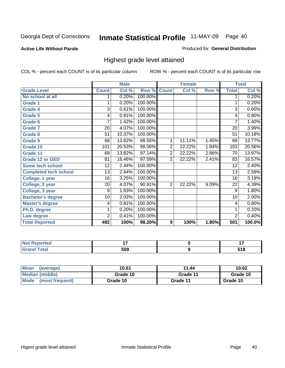**Active Life Without Parole** 

Produced for **General Distribution**

### Highest grade level attained

|                              |                 | <b>Male</b> |         |                | <b>Female</b> |       |                | <b>Total</b> |
|------------------------------|-----------------|-------------|---------|----------------|---------------|-------|----------------|--------------|
| <b>Grade Level</b>           | <b>Count</b>    | Col %       | Row %   | <b>Count</b>   | Col %         | Row % | <b>Total</b>   | Col %        |
| No school at all             |                 | 0.20%       | 100.00% |                |               |       | 1              | 0.20%        |
| <b>Grade 1</b>               | 1               | 0.20%       | 100.00% |                |               |       | 1              | 0.20%        |
| <b>Grade 4</b>               | $\overline{3}$  | 0.61%       | 100.00% |                |               |       | $\overline{3}$ | 0.60%        |
| Grade 5                      | 4               | 0.81%       | 100.00% |                |               |       | 4              | 0.80%        |
| Grade 6                      | 7               | 1.42%       | 100.00% |                |               |       | 7              | 1.40%        |
| <b>Grade 7</b>               | 20              | 4.07%       | 100.00% |                |               |       | 20             | 3.99%        |
| <b>Grade 8</b>               | 51              | 10.37%      | 100.00% |                |               |       | 51             | 10.18%       |
| Grade 9                      | 68              | 13.82%      | 98.55%  | 1              | 11.11%        | 1.45% | 69             | 13.77%       |
| Grade 10                     | 101             | 20.53%      | 98.06%  | $\overline{2}$ | 22.22%        | 1.94% | 103            | 20.56%       |
| Grade 11                     | 68              | 13.82%      | 97.14%  | $\overline{c}$ | 22.22%        | 2.86% | 70             | 13.97%       |
| <b>Grade 12 or GED</b>       | 81              | 16.46%      | 97.59%  | 2              | 22.22%        | 2.41% | 83             | 16.57%       |
| <b>Some tech school</b>      | 12              | 2.44%       | 100.00% |                |               |       | 12             | 2.40%        |
| <b>Completed tech school</b> | $\overline{13}$ | 2.64%       | 100.00% |                |               |       | 13             | 2.59%        |
| College, 1 year              | 16              | 3.25%       | 100.00% |                |               |       | 16             | 3.19%        |
| College, 2 year              | 20              | 4.07%       | 90.91%  | $\overline{2}$ | 22.22%        | 9.09% | 22             | 4.39%        |
| College, 3 year              | 9               | 1.83%       | 100.00% |                |               |       | 9              | 1.80%        |
| <b>Bachelor's degree</b>     | 10              | 2.03%       | 100.00% |                |               |       | 10             | 2.00%        |
| <b>Master's degree</b>       | 4               | 0.81%       | 100.00% |                |               |       | 4              | 0.80%        |
| Ph.D. degree                 | 1               | 0.20%       | 100.00% |                |               |       | 1              | 0.20%        |
| Law degree                   | $\overline{2}$  | 0.41%       | 100.00% |                |               |       | $\overline{2}$ | 0.40%        |
| <b>Total Reported</b>        | 492             | 100%        | 98.20%  | 9              | 100%          | 1.80% | 501            | 100.0%       |

| <b>Not Reported</b>          | . . | $\cdot$ $\cdot$ |
|------------------------------|-----|-----------------|
| <b>Total</b><br><b>Grand</b> | 509 | E 4 C<br>JIU    |

| <b>Mean</b><br>(average)       | 10.61    | 11.44    | 10.62    |
|--------------------------------|----------|----------|----------|
| Median (middle)                | Grade 10 | Grade 11 | Grade 10 |
| <b>Mode</b><br>(most frequent) | Grade 10 | Grade 11 | Grade 10 |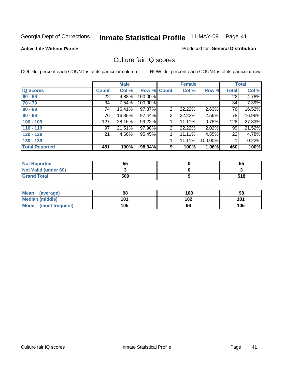#### **Active Life Without Parole**

#### Produced for **General Distribution**

### Culture fair IQ scores

|                       |              | <b>Male</b> |             |                | <b>Female</b> |         |              | <b>Total</b> |
|-----------------------|--------------|-------------|-------------|----------------|---------------|---------|--------------|--------------|
| <b>IQ Scores</b>      | <b>Count</b> | Col %       | Row % Count |                | Col %         | Row %   | <b>Total</b> | Col %        |
| $60 - 69$             | 22           | 4.88%       | 100.00%     |                |               |         | 22           | 4.78%        |
| $70 - 79$             | 34           | 7.54%       | 100.00%     |                |               |         | 34           | 7.39%        |
| $80 - 89$             | 74           | 16.41%      | 97.37%      | $\overline{2}$ | 22.22%        | 2.63%   | 76           | 16.52%       |
| $90 - 99$             | 76           | 16.85%      | 97.44%      | 2              | 22.22%        | 2.56%   | 78           | 16.96%       |
| $100 - 109$           | 127          | 28.16%      | 99.22%      |                | 11.11%        | 0.78%   | 128          | 27.83%       |
| $110 - 119$           | 97           | 21.51%      | 97.98%      | 2              | 22.22%        | 2.02%   | 99           | 21.52%       |
| $120 - 129$           | 21           | 4.66%       | 95.45%      | 1              | 11.11%        | 4.55%   | 22           | 4.78%        |
| $130 - 139$           |              |             |             |                | 11.11%        | 100.00% |              | 0.22%        |
| <b>Total Reported</b> | 451          | 100%        | 98.04%      | 9              | 100%          | 1.96%   | 460          | 100%         |

| <b>Not Reported</b>  | 55  | 55  |
|----------------------|-----|-----|
| Not Valid (under 60) |     |     |
| <b>Grand Total</b>   | 509 | 518 |

| <b>Mean</b><br>(average) | 98  | 108 | 98  |
|--------------------------|-----|-----|-----|
| <b>Median (middle)</b>   | 101 | 102 | 101 |
| Mode (most frequent)     | 105 | 96  | 105 |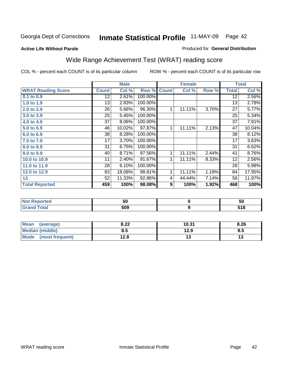**Active Life Without Parole** 

#### Produced for **General Distribution**

# Wide Range Achievement Test (WRAT) reading score

|                           |                 | <b>Male</b> |         |              | <b>Female</b> |       |                 | <b>Total</b> |
|---------------------------|-----------------|-------------|---------|--------------|---------------|-------|-----------------|--------------|
| <b>WRAT Reading Score</b> | <b>Count</b>    | Col %       | Row %   | <b>Count</b> | Col %         | Row % | <b>Total</b>    | Col %        |
| $0.1$ to $0.9$            | $\overline{12}$ | 2.61%       | 100.00% |              |               |       | $\overline{12}$ | $2.56\%$     |
| 1.0 to 1.9                | 13              | 2.83%       | 100.00% |              |               |       | 13              | 2.78%        |
| 2.0 to 2.9                | 26              | 5.66%       | 96.30%  | 1            | 11.11%        | 3.70% | 27              | 5.77%        |
| 3.0 to 3.9                | 25              | 5.45%       | 100.00% |              |               |       | 25              | 5.34%        |
| 4.0 to 4.9                | 37              | 8.06%       | 100.00% |              |               |       | 37              | 7.91%        |
| 5.0 to 5.9                | 46              | 10.02%      | 97.87%  | 1            | 11.11%        | 2.13% | 47              | 10.04%       |
| 6.0 to 6.9                | 38              | 8.28%       | 100.00% |              |               |       | 38              | 8.12%        |
| 7.0 to 7.9                | 17              | 3.70%       | 100.00% |              |               |       | 17              | 3.63%        |
| 8.0 to 8.9                | 31              | 6.75%       | 100.00% |              |               |       | 31              | 6.62%        |
| 9.0 to 9.9                | 40              | 8.71%       | 97.56%  | 1            | 11.11%        | 2.44% | 41              | 8.76%        |
| 10.0 to 10.9              | 11              | 2.40%       | 91.67%  | 1            | 11.11%        | 8.33% | 12              | 2.56%        |
| 11.0 to 11.9              | 28              | 6.10%       | 100.00% |              |               |       | 28              | 5.98%        |
| 12.0 to 12.9              | 83              | 18.08%      | 98.81%  | 1            | 11.11%        | 1.19% | 84              | 17.95%       |
| 13                        | 52              | 11.33%      | 92.86%  | 4            | 44.44%        | 7.14% | 56              | 11.97%       |
| <b>Total Reported</b>     | 459             | 100%        | 98.08%  | 9            | 100%          | 1.92% | 468             | 100%         |

| <b>Not Reported</b> | 50  | 50           |
|---------------------|-----|--------------|
| <b>Grand Total</b>  | 509 | E40<br>၁ ၊ ဝ |

| Mean<br>(average)       | 8.22           | 10.31 | 8.26 |
|-------------------------|----------------|-------|------|
| Median (middle)         | გ.ა            | 12.9  | ၓ.უ  |
| Mode<br>(most frequent) | 1 2 9<br>I ∠.O | יי    | 17   |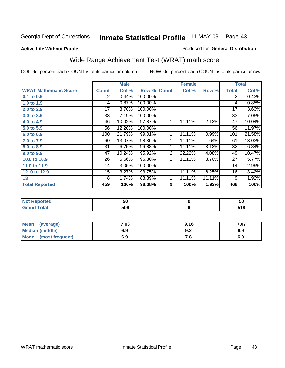**Active Life Without Parole** 

#### Produced for **General Distribution**

# Wide Range Achievement Test (WRAT) math score

|                              |              | <b>Male</b> |         |                | <b>Female</b> |        |              | <b>Total</b> |
|------------------------------|--------------|-------------|---------|----------------|---------------|--------|--------------|--------------|
| <b>WRAT Mathematic Score</b> | <b>Count</b> | Col %       | Row %   | <b>Count</b>   | Col %         | Row %  | <b>Total</b> | Col %        |
| 0.1 to 0.9                   | 2            | 0.44%       | 100.00% |                |               |        | 2            | 0.43%        |
| 1.0 to 1.9                   | 4            | 0.87%       | 100.00% |                |               |        | 4            | 0.85%        |
| 2.0 to 2.9                   | 17           | 3.70%       | 100.00% |                |               |        | 17           | 3.63%        |
| 3.0 to 3.9                   | 33           | 7.19%       | 100.00% |                |               |        | 33           | 7.05%        |
| 4.0 to 4.9                   | 46           | 10.02%      | 97.87%  | 1              | 11.11%        | 2.13%  | 47           | 10.04%       |
| 5.0 to 5.9                   | 56           | 12.20%      | 100.00% |                |               |        | 56           | 11.97%       |
| 6.0 to 6.9                   | 100          | 21.79%      | 99.01%  | 1              | 11.11%        | 0.99%  | 101          | 21.58%       |
| 7.0 to 7.9                   | 60           | 13.07%      | 98.36%  | 1              | 11.11%        | 1.64%  | 61           | 13.03%       |
| 8.0 to 8.9                   | 31           | 6.75%       | 96.88%  | 1              | 11.11%        | 3.13%  | 32           | 6.84%        |
| 9.0 to 9.9                   | 47           | 10.24%      | 95.92%  | $\overline{2}$ | 22.22%        | 4.08%  | 49           | 10.47%       |
| 10.0 to 10.9                 | 26           | 5.66%       | 96.30%  | 1              | 11.11%        | 3.70%  | 27           | 5.77%        |
| 11.0 to 11.9                 | 14           | 3.05%       | 100.00% |                |               |        | 14           | 2.99%        |
| 12.0 to 12.9                 | 15           | 3.27%       | 93.75%  | 1              | 11.11%        | 6.25%  | 16           | 3.42%        |
| 13                           | 8            | 1.74%       | 88.89%  | 1              | 11.11%        | 11.11% | 9            | 1.92%        |
| <b>Total Reported</b>        | 459          | 100%        | 98.08%  | 9              | 100%          | 1.92%  | 468          | 100%         |

| <b>Not Reported</b> | 50  | 50             |
|---------------------|-----|----------------|
| <b>Grand Total</b>  | 509 | E 4 0<br>ວ ເ ດ |

| <b>Mean</b><br>(average) | $\cdot$ 03 | 9.16 | ו ט. |
|--------------------------|------------|------|------|
| <b>Median (middle)</b>   | 6.9        | J.L  | 6.9  |
| Mode<br>(most frequent)  | 6.9        | . о  | 6.9  |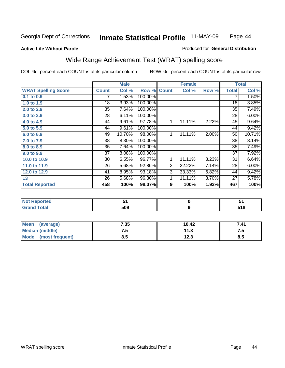#### **Active Life Without Parole**

#### Produced for **General Distribution**

### Wide Range Achievement Test (WRAT) spelling score

|                            |                 | <b>Male</b> |         |                | <b>Female</b>    |       |              | <b>Total</b> |
|----------------------------|-----------------|-------------|---------|----------------|------------------|-------|--------------|--------------|
| <b>WRAT Spelling Score</b> | <b>Count</b>    | Col %       | Row %   | <b>Count</b>   | Col %            | Row % | <b>Total</b> | Col %        |
| $0.1$ to $0.9$             |                 | 1.53%       | 100.00% |                |                  |       | 7            | 1.50%        |
| 1.0 to 1.9                 | 18              | 3.93%       | 100.00% |                |                  |       | 18           | 3.85%        |
| 2.0 to 2.9                 | $\overline{35}$ | 7.64%       | 100.00% |                |                  |       | 35           | 7.49%        |
| 3.0 to 3.9                 | 28              | 6.11%       | 100.00% |                |                  |       | 28           | 6.00%        |
| 4.0 to 4.9                 | 44              | 9.61%       | 97.78%  | 1              | 11.11%           | 2.22% | 45           | 9.64%        |
| 5.0 to 5.9                 | 44              | 9.61%       | 100.00% |                |                  |       | 44           | 9.42%        |
| 6.0 to 6.9                 | 49              | 10.70%      | 98.00%  | 1              | 11.11%           | 2.00% | 50           | 10.71%       |
| 7.0 to 7.9                 | 38              | 8.30%       | 100.00% |                |                  |       | 38           | 8.14%        |
| 8.0 to 8.9                 | 35              | 7.64%       | 100.00% |                |                  |       | 35           | 7.49%        |
| 9.0 to 9.9                 | 37              | 8.08%       | 100.00% |                |                  |       | 37           | 7.92%        |
| 10.0 to 10.9               | 30              | 6.55%       | 96.77%  | 1              | 11.11%           | 3.23% | 31           | 6.64%        |
| 11.0 to 11.9               | 26              | 5.68%       | 92.86%  | 2              | 22.22%           | 7.14% | 28           | 6.00%        |
| 12.0 to 12.9               | 41              | 8.95%       | 93.18%  | $\overline{3}$ | 33.33%           | 6.82% | 44           | 9.42%        |
| 13                         | 26              | 5.68%       | 96.30%  | 1              | 11.11%           | 3.70% | 27           | 5.78%        |
| <b>Total Reported</b>      | 458             | 100%        | 98.07%  | 9              | 100%             | 1.93% | 467          | 100%         |
|                            |                 |             |         |                |                  |       |              |              |
| <b>Not Reported</b>        |                 | 51          |         |                | $\pmb{0}$        |       |              | 51           |
| <b>Grand Total</b>         |                 | 509         |         |                | $\boldsymbol{9}$ |       |              | 518          |

| <b>Mean</b><br>(average) | 7.35 | 10.42 | 7.41  |
|--------------------------|------|-------|-------|
| <b>Median (middle)</b>   | ن. ا | - 150 | . . J |
| Mode<br>(most frequent)  | 8.5  | 12.3  | 8.5   |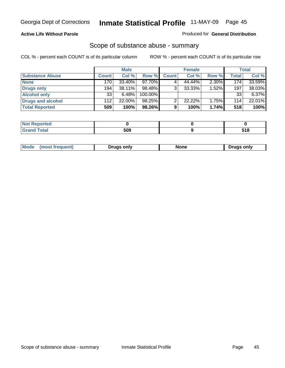#### **Active Life Without Parole**

#### Produced for **General Distribution**

### Scope of substance abuse - summary

|                        |       | <b>Male</b> |           |              | <b>Female</b> |       |              | <b>Total</b> |
|------------------------|-------|-------------|-----------|--------------|---------------|-------|--------------|--------------|
| <b>Substance Abuse</b> | Count | Col %       | Row %     | <b>Count</b> | Col %         | Row % | <b>Total</b> | Col %        |
| <b>None</b>            | 170   | 33.40%      | $97.70\%$ |              | 44.44%        | 2.30% | 174          | 33.59%       |
| Drugs only             | 194   | 38.11%      | 98.48%    |              | $33.33\%$     | 1.52% | 197          | 38.03%       |
| <b>Alcohol only</b>    | 33    | 6.48%       | 100.00%   |              |               |       | 33           | 6.37%        |
| Drugs and alcohol      | 112   | 22.00%      | 98.25%    |              | 22.22%        | 1.75% | 114          | 22.01%       |
| <b>Total Reported</b>  | 509   | 100%        | 98.26%    | 9            | 100%          | 1.74% | 518          | 100%         |

| <b>Not</b><br><b>eported</b> |     |     |
|------------------------------|-----|-----|
| <b>Total</b><br><b>Grano</b> | 509 | -40 |

| ruas onlv<br>one<br>only<br>Pruas .<br>онеш. | Mode |  |  |  |
|----------------------------------------------|------|--|--|--|
|----------------------------------------------|------|--|--|--|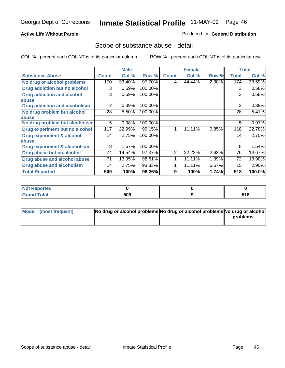#### **Active Life Without Parole**

#### Produced for **General Distribution**

### Scope of substance abuse - detail

|                                      |                | <b>Male</b> |         |              | <b>Female</b> |       |              | <b>Total</b> |
|--------------------------------------|----------------|-------------|---------|--------------|---------------|-------|--------------|--------------|
| <b>Substance Abuse</b>               | <b>Count</b>   | Col %       | Row %   | <b>Count</b> | Col %         | Row % | <b>Total</b> | Col %        |
| No drug or alcohol problems          | 170            | 33.40%      | 97.70%  | 4            | 44.44%        | 2.30% | 174          | 33.59%       |
| Drug addiction but no alcohol        | 3              | 0.59%       | 100.00% |              |               |       | 3            | 0.58%        |
| <b>Drug addiction and alcohol</b>    | 3              | 0.59%       | 100.00% |              |               |       | 3            | 0.58%        |
| abuse                                |                |             |         |              |               |       |              |              |
| <b>Drug addiction and alcoholism</b> | $\overline{2}$ | 0.39%       | 100.00% |              |               |       | 2            | 0.39%        |
| No drug problem but alcohol          | 28             | 5.50%       | 100.00% |              |               |       | 28           | 5.41%        |
| abuse                                |                |             |         |              |               |       |              |              |
| No drug problem but alcoholism       | 5              | 0.98%       | 100.00% |              |               |       | 5            | 0.97%        |
| Drug experiment but no alcohol       | 117            | 22.99%      | 99.15%  | 1            | 11.11%        | 0.85% | 118          | 22.78%       |
| <b>Drug experiment &amp; alcohol</b> | 14             | 2.75%       | 100.00% |              |               |       | 14           | 2.70%        |
| abuse                                |                |             |         |              |               |       |              |              |
| Drug experiment & alcoholism         | 8              | 1.57%       | 100.00% |              |               |       | 8            | 1.54%        |
| Drug abuse but no alcohol            | 74             | 14.54%      | 97.37%  | 2            | 22.22%        | 2.63% | 76           | 14.67%       |
| Drug abuse and alcohol abuse         | 71             | 13.95%      | 98.61%  |              | 11.11%        | 1.39% | 72           | 13.90%       |
| Drug abuse and alcoholism            | 14             | 2.75%       | 93.33%  |              | 11.11%        | 6.67% | 15           | 2.90%        |
| <b>Total Reported</b>                | 509            | 100%        | 98.26%  | 9            | 100%          | 1.74% | 518          | 100.0%       |

| <b>Not Reported</b> |     |              |
|---------------------|-----|--------------|
| <b>Total</b>        | 509 | E40<br>3 I O |

| Mode (most frequent) | No drug or alcohol problems No drug or alcohol problems No drug or alcohol |          |
|----------------------|----------------------------------------------------------------------------|----------|
|                      |                                                                            | problems |
|                      |                                                                            |          |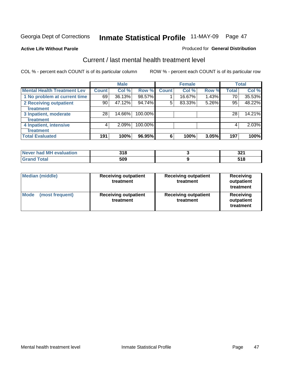**Active Life Without Parole** 

#### Produced for **General Distribution**

### Current / last mental health treatment level

|                                    |       | <b>Male</b> |         |              | <b>Female</b> |       |              | <b>Total</b> |
|------------------------------------|-------|-------------|---------|--------------|---------------|-------|--------------|--------------|
| <b>Mental Health Treatment Lev</b> | Count | Col %       | Row %   | <b>Count</b> | Col %         | Row % | <b>Total</b> | Col %        |
| 1 No problem at current time       | 69    | 36.13%      | 98.57%  |              | 16.67%        | 1.43% | 70           | 35.53%       |
| 2 Receiving outpatient             | 90    | 47.12%      | 94.74%  | 5            | 83.33%        | 5.26% | 95           | 48.22%       |
| treatment                          |       |             |         |              |               |       |              |              |
| 3 Inpatient, moderate              | 28    | 14.66%      | 100.00% |              |               |       | 28           | 14.21%       |
| treatment                          |       |             |         |              |               |       |              |              |
| 4 Inpatient, intensive             | 4     | 2.09%       | 100.00% |              |               |       | 4            | 2.03%        |
| treatment                          |       |             |         |              |               |       |              |              |
| <b>Total Evaluated</b>             | 191   | 100%        | 96.95%  | 6            | 100%          | 3.05% | 197          | 100%         |

| Never had MH evaluation | 21 O<br>טוע | ົາງ<br>JZ 1 |
|-------------------------|-------------|-------------|
| $T \cap f \cap L$       | 509         | J I U       |

| <b>Median (middle)</b>         | <b>Receiving outpatient</b><br>treatment | <b>Receiving outpatient</b><br>treatment | <b>Receiving</b><br>outpatient<br>treatment |  |
|--------------------------------|------------------------------------------|------------------------------------------|---------------------------------------------|--|
| <b>Mode</b><br>(most frequent) | <b>Receiving outpatient</b><br>treatment | <b>Receiving outpatient</b><br>treatment | Receiving<br>outpatient<br>treatment        |  |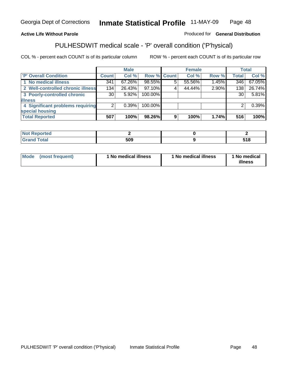### **Active Life Without Parole**

### Produced for **General Distribution**

# PULHESDWIT medical scale - 'P' overall condition ('P'hysical)

|                                   |         | <b>Male</b> |             |   | <b>Female</b> |       |              | <b>Total</b> |
|-----------------------------------|---------|-------------|-------------|---|---------------|-------|--------------|--------------|
| 'P' Overall Condition             | Count l | Col %       | Row % Count |   | Col %         | Row % | <b>Total</b> | Col %        |
| 1 No medical illness              | 341     | 67.26%      | 98.55%      | 5 | 55.56%        | 1.45% | 346          | 67.05%       |
| 2 Well-controlled chronic illness | 134     | 26.43%      | 97.10%      |   | 44.44%        | 2.90% | 138          | 26.74%       |
| 3 Poorly-controlled chronic       | 30 l    | $5.92\%$    | 100.00%     |   |               |       | 30           | 5.81%        |
| <b>illness</b>                    |         |             |             |   |               |       |              |              |
| 4 Significant problems requiring  | 2       | 0.39%       | 100.00%     |   |               |       | 2            | 0.39%        |
| special housing                   |         |             |             |   |               |       |              |              |
| <b>Total Reported</b>             | 507     | 100%        | 98.26%      | 9 | 100%          | 1.74% | 516          | 100%         |

| Not Reported |                   |              |
|--------------|-------------------|--------------|
| <b>otal</b>  | <b>ENO</b><br>ວບະ | E40<br>J I O |

| Mode<br>(most frequent) | 1 No medical illness | 1 No medical illness | 1 No medical<br>illness |
|-------------------------|----------------------|----------------------|-------------------------|
|-------------------------|----------------------|----------------------|-------------------------|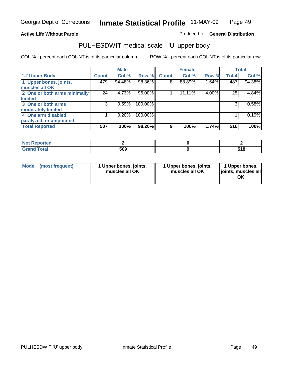### **Active Life Without Parole**

Produced for **General Distribution**

# PULHESDWIT medical scale - 'U' upper body

|                              |              | <b>Male</b> |         |              | <b>Female</b> |       |              | <b>Total</b> |
|------------------------------|--------------|-------------|---------|--------------|---------------|-------|--------------|--------------|
| <b>U' Upper Body</b>         | <b>Count</b> | Col %       | Row %   | <b>Count</b> | Col %         | Row % | <b>Total</b> | Col %        |
| 1 Upper bones, joints,       | 479          | 94.48%      | 98.36%  | 8            | 88.89%        | 1.64% | 487          | 94.38%       |
| muscles all OK               |              |             |         |              |               |       |              |              |
| 2 One or both arms minimally | 24           | 4.73%       | 96.00%  |              | 11.11%        | 4.00% | 25           | 4.84%        |
| limited                      |              |             |         |              |               |       |              |              |
| 3 One or both arms           | 3            | 0.59%       | 100.00% |              |               |       | 3            | 0.58%        |
| moderately limited           |              |             |         |              |               |       |              |              |
| 4 One arm disabled,          |              | 0.20%       | 100.00% |              |               |       |              | 0.19%        |
| paralyzed, or amputated      |              |             |         |              |               |       |              |              |
| <b>Total Reported</b>        | 507          | 100%        | 98.26%  | 9            | 100%          | 1.74% | 516          | 100%         |

| <b>Reported</b><br>NOT<br>$\sim$ |     |            |
|----------------------------------|-----|------------|
| $T0$ tol                         | 509 | E40<br>JIU |

|  | Mode (most frequent) | 1 Upper bones, joints,<br>muscles all OK | 1 Upper bones, joints,<br>muscles all OK | 1 Upper bones,<br>joints, muscles all<br>ΟK |
|--|----------------------|------------------------------------------|------------------------------------------|---------------------------------------------|
|--|----------------------|------------------------------------------|------------------------------------------|---------------------------------------------|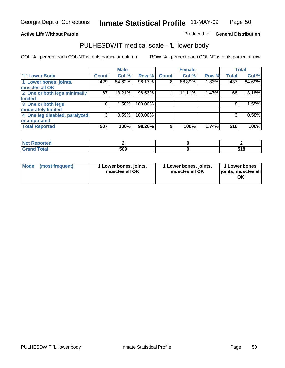#### **Active Life Without Parole**

#### Produced for **General Distribution**

### PULHESDWIT medical scale - 'L' lower body

|                                |              | <b>Male</b> |         |              | <b>Female</b> |       |              | <b>Total</b> |
|--------------------------------|--------------|-------------|---------|--------------|---------------|-------|--------------|--------------|
| 'L' Lower Body                 | <b>Count</b> | Col %       | Row %   | <b>Count</b> | Col %         | Row % | <b>Total</b> | Col %        |
| 1 Lower bones, joints,         | 429          | 84.62%      | 98.17%  | 8            | 88.89%        | 1.83% | 437          | 84.69%       |
| muscles all OK                 |              |             |         |              |               |       |              |              |
| 2 One or both legs minimally   | 67           | 13.21%      | 98.53%  |              | 11.11%        | 1.47% | 68           | 13.18%       |
| limited                        |              |             |         |              |               |       |              |              |
| 3 One or both legs             | 8            | 1.58%       | 100.00% |              |               |       | 8            | 1.55%        |
| moderately limited             |              |             |         |              |               |       |              |              |
| 4 One leg disabled, paralyzed, | 3            | 0.59%       | 100.00% |              |               |       | 3            | 0.58%        |
| or amputated                   |              |             |         |              |               |       |              |              |
| <b>Total Reported</b>          | 507          | 100%        | 98.26%  | 9            | 100%          | 1.74% | 516          | 100%         |

| <b>The company's company's</b><br>теа<br>'NH |     |                |
|----------------------------------------------|-----|----------------|
| $F \sim f \sim f$<br><b>Oldi</b><br>------   | 509 | E 4 0<br>J I U |

|  | Mode (most frequent) | 1 Lower bones, joints,<br>muscles all OK | 1 Lower bones, joints,<br>muscles all OK | 1 Lower bones,<br>joints, muscles all<br>OK |
|--|----------------------|------------------------------------------|------------------------------------------|---------------------------------------------|
|--|----------------------|------------------------------------------|------------------------------------------|---------------------------------------------|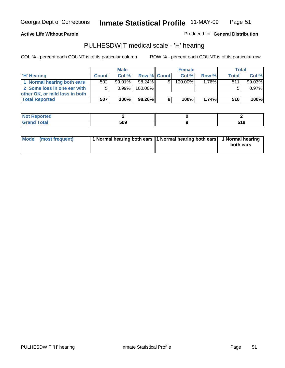#### **Active Life Without Parole**

Produced for **General Distribution**

### PULHESDWIT medical scale - 'H' hearing

|                                | <b>Male</b>  |           |             |   | <b>Female</b> | <b>Total</b> |              |         |
|--------------------------------|--------------|-----------|-------------|---|---------------|--------------|--------------|---------|
| 'H' Hearing                    | <b>Count</b> | Col%      | Row % Count |   | Col%          | Row %        | <b>Total</b> | Col %   |
| 1 Normal hearing both ears     | 502          | $99.01\%$ | 98.24%      | 9 | 100.00%       | 1.76%        | 511          | 99.03%  |
| 2 Some loss in one ear with    | 5            | $0.99\%$  | 100.00%     |   |               |              |              | 0.97%   |
| other OK, or mild loss in both |              |           |             |   |               |              |              |         |
| <b>Total Reported</b>          | 507          | 100%      | 98.26%      | 9 | 100%          | 1.74%        | 516          | $100\%$ |

| тео |     |                         |
|-----|-----|-------------------------|
| _   | הה: | <b>740</b><br>JIU<br>__ |

| Mode (most frequent) | 1 Normal hearing both ears 11 Normal hearing both ears 1 Normal hearing | both ears |
|----------------------|-------------------------------------------------------------------------|-----------|
|                      |                                                                         |           |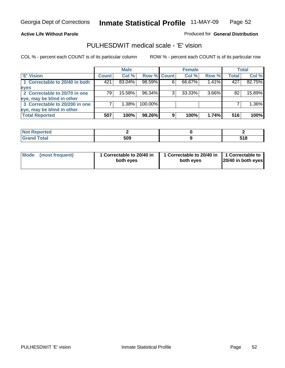#### **Active Life Without Parole**

#### Produced for **General Distribution**

### PULHESDWIT medical scale - 'E' vision

|                                |              | <b>Male</b> |             |   | <b>Female</b> |       |              | <b>Total</b> |
|--------------------------------|--------------|-------------|-------------|---|---------------|-------|--------------|--------------|
| <b>E' Vision</b>               | <b>Count</b> | Col %       | Row % Count |   | Col %         | Row % | <b>Total</b> | Col %        |
| 1 Correctable to 20/40 in both | 421          | 83.04%      | 98.59%      |   | 66.67%        | 1.41% | 427          | 82.75%       |
| eyes                           |              |             |             |   |               |       |              |              |
| 2 Correctable to 20/70 in one  | 79           | 15.58%      | 96.34%      |   | 33.33%        | 3.66% | 82           | 15.89%       |
| eye, may be blind in other     |              |             |             |   |               |       |              |              |
| 3 Correctable to 20/200 in one |              | 1.38%       | 100.00%     |   |               |       |              | 1.36%        |
| eye, may be blind in other     |              |             |             |   |               |       |              |              |
| <b>Total Reported</b>          | 507          | 100%        | 98.26%      | 9 | 100%          | 1.74% | 516          | 100%         |

| пет          |     |               |
|--------------|-----|---------------|
| <b>Total</b> | 509 | 64 O<br>J I U |

|  | Mode (most frequent) | 1 Correctable to 20/40 in<br>both eyes | 1 Correctable to 20/40 in   1 Correctable to<br>both eyes | 20/40 in both eyes |
|--|----------------------|----------------------------------------|-----------------------------------------------------------|--------------------|
|--|----------------------|----------------------------------------|-----------------------------------------------------------|--------------------|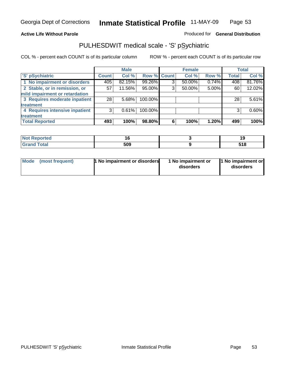### **Active Life Without Parole**

### Produced for **General Distribution**

# PULHESDWIT medical scale - 'S' pSychiatric

|                                |                    | <b>Male</b> |             |   | <b>Female</b> |       |              | <b>Total</b> |
|--------------------------------|--------------------|-------------|-------------|---|---------------|-------|--------------|--------------|
| 'S' pSychiatric                | Count <sup>'</sup> | Col %       | Row % Count |   | Col %         | Row % | <b>Total</b> | Col %        |
| 1 No impairment or disorders   | 405                | 82.15%      | 99.26%      | 3 | $50.00\%$     | 0.74% | 408          | 81.76%       |
| 2 Stable, or in remission, or  | 57                 | 11.56%      | 95.00%      | 3 | 50.00%        | 5.00% | 60           | 12.02%       |
| mild impairment or retardation |                    |             |             |   |               |       |              |              |
| 3 Requires moderate inpatient  | 28                 | 5.68%       | 100.00%     |   |               |       | 28           | 5.61%        |
| treatment                      |                    |             |             |   |               |       |              |              |
| 4 Requires intensive inpatient | 3                  | 0.61%       | 100.00%     |   |               |       | 3            | 0.60%        |
| treatment                      |                    |             |             |   |               |       |              |              |
| <b>Total Reported</b>          | 493                | 100%        | 98.80%      | 6 | 100%          | 1.20% | 499          | 100%         |

| د مقامت<br>eportea<br>. |     | ı.           |
|-------------------------|-----|--------------|
| <b>Total</b>            | 509 | e 4 c<br>. . |

|  | Mode (most frequent) | <b>1 No impairment or disorders</b> | 1 No impairment or<br>disorders | 1 No impairment or<br>disorders |
|--|----------------------|-------------------------------------|---------------------------------|---------------------------------|
|--|----------------------|-------------------------------------|---------------------------------|---------------------------------|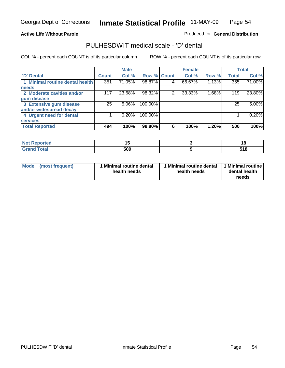**Active Life Without Parole** 

Produced for **General Distribution**

### PULHESDWIT medical scale - 'D' dental

|                                 |              | <b>Male</b> |             |   | <b>Female</b> |       |              | <b>Total</b> |
|---------------------------------|--------------|-------------|-------------|---|---------------|-------|--------------|--------------|
| <b>D' Dental</b>                | <b>Count</b> | Col %       | Row % Count |   | Col %         | Row % | <b>Total</b> | Col %        |
| 1 Minimal routine dental health | 351          | 71.05%      | 98.87%      | 4 | 66.67%        | 1.13% | 355          | 71.00%       |
| <b>needs</b>                    |              |             |             |   |               |       |              |              |
| 2 Moderate cavities and/or      | 117          | 23.68%      | 98.32%      | 2 | 33.33%        | 1.68% | 119          | 23.80%       |
| gum disease                     |              |             |             |   |               |       |              |              |
| 3 Extensive gum disease         | 25           | $5.06\%$    | 100.00%     |   |               |       | 25           | 5.00%        |
| and/or widespread decay         |              |             |             |   |               |       |              |              |
| 4 Urgent need for dental        |              | 0.20%       | 100.00%     |   |               |       |              | 0.20%        |
| <b>services</b>                 |              |             |             |   |               |       |              |              |
| <b>Total Reported</b>           | 494          | 100%        | 98.80%      | 6 | 100%          | 1.20% | 500          | 100%         |

| Reported<br><b>NOT</b> | - -<br>. . | ıc           |
|------------------------|------------|--------------|
| <b>otal</b>            | 509        | E40<br>J I U |

| <b>Mode</b><br>(most frequent) | <b>Minimal routine dental</b><br>health needs | 1 Minimal routine dental<br>health needs | 11 Minimal routine<br>dental health<br>needs |
|--------------------------------|-----------------------------------------------|------------------------------------------|----------------------------------------------|
|--------------------------------|-----------------------------------------------|------------------------------------------|----------------------------------------------|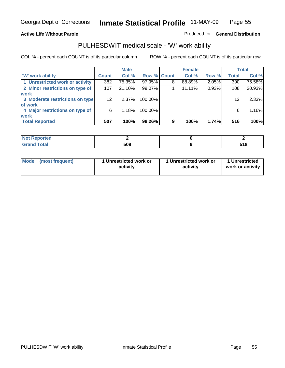### **Active Life Without Parole**

### Produced for **General Distribution**

### PULHESDWIT medical scale - 'W' work ability

|                                 | <b>Male</b>  |          |             | <b>Female</b> |        |       | <b>Total</b> |        |
|---------------------------------|--------------|----------|-------------|---------------|--------|-------|--------------|--------|
| <b>W' work ability</b>          | <b>Count</b> | Col %    | Row % Count |               | Col %  | Row % | <b>Total</b> | Col %  |
| 1 Unrestricted work or activity | 382          | 75.35%   | 97.95%      | 8             | 88.89% | 2.05% | 390          | 75.58% |
| 2 Minor restrictions on type of | 107          | 21.10%   | 99.07%      |               | 11.11% | 0.93% | 108          | 20.93% |
| <b>work</b>                     |              |          |             |               |        |       |              |        |
| 3 Moderate restrictions on type | 12           | $2.37\%$ | 100.00%     |               |        |       | 12           | 2.33%  |
| of work                         |              |          |             |               |        |       |              |        |
| 4 Major restrictions on type of | 6            | 1.18%    | 100.00%     |               |        |       | 6            | 1.16%  |
| <b>work</b>                     |              |          |             |               |        |       |              |        |
| <b>Total Reported</b>           | 507          | 100%     | 98.26%      | 9             | 100%   | 1.74% | 516          | 100%   |

| eported      |     |               |
|--------------|-----|---------------|
| <b>Total</b> | 509 | E4 O<br>၁ ၊ ဝ |

| <b>Mode</b>     | 1 Unrestricted work or | 1 Unrestricted work or | 1 Unrestricted   |
|-----------------|------------------------|------------------------|------------------|
| (most frequent) | activity               | activity               | work or activity |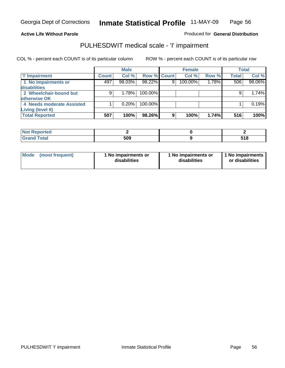#### **Active Life Without Parole**

#### Produced for **General Distribution**

### PULHESDWIT medical scale - 'I' impairment

|                           |              | <b>Male</b> |             |    | <b>Female</b> |       |              | <b>Total</b> |
|---------------------------|--------------|-------------|-------------|----|---------------|-------|--------------|--------------|
| <b>T' Impairment</b>      | <b>Count</b> | Col %       | Row % Count |    | Col %         | Row % | <b>Total</b> | Col %        |
| 1 No impairments or       | 497          | 98.03%      | 98.22%      | 9  | 100.00%       | 1.78% | 506          | 98.06%       |
| disabilities              |              |             |             |    |               |       |              |              |
| 2 Wheelchair-bound but    | 9            | 1.78%       | 100.00%     |    |               |       |              | 1.74%        |
| otherwise OK              |              |             |             |    |               |       |              |              |
| 4 Needs moderate Assisted |              | 0.20%       | 100.00%     |    |               |       |              | 0.19%        |
| Living (level II)         |              |             |             |    |               |       |              |              |
| <b>Total Reported</b>     | 507          | 100%        | 98.26%      | 9. | 100%          | 1.74% | 516          | 100%         |

| -N4<br>porteg |     |               |
|---------------|-----|---------------|
| otal          | 509 | E4 O<br>၁ ၊ ဝ |

| Mode            | 1 No impairments or | 1 No impairments or | 1 No impairments |
|-----------------|---------------------|---------------------|------------------|
| (most frequent) | disabilities        | disabilities        | or disabilities  |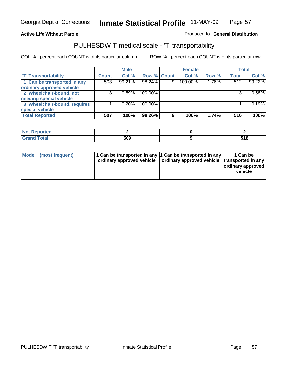#### **Inmate Statistical Profile** 11-MAY-09 Page Page 57

### **Active Life Without Parole Produced fo Seneral Distribution**

### PULHESDWIT medical scale - 'T' transportability

|                              |              | <b>Male</b> |             |   | <b>Female</b> |          |              | <b>Total</b> |
|------------------------------|--------------|-------------|-------------|---|---------------|----------|--------------|--------------|
| <b>T' Transportability</b>   | <b>Count</b> | Col %       | Row % Count |   | Col %         | Row %    | <b>Total</b> | Col %        |
| 1 Can be transported in any  | 503          | 99.21%      | 98.24%      | 9 | 100.00%       | $1.76\%$ | 512          | 99.22%       |
| ordinary approved vehicle    |              |             |             |   |               |          |              |              |
| 2 Wheelchair-bound, not      | 3            | 0.59%       | 100.00%     |   |               |          |              | 0.58%        |
| needing special vehicle      |              |             |             |   |               |          |              |              |
| 3 Wheelchair-bound, requires |              | 0.20%       | 100.00%     |   |               |          |              | 0.19%        |
| special vehicle              |              |             |             |   |               |          |              |              |
| <b>Total Reported</b>        | 507          | 100%        | 98.26%      | 9 | 100%          | 1.74%    | 516          | 100%         |

| <b>Not</b><br>Reported |     |             |
|------------------------|-----|-------------|
| Total                  | 509 | - - -<br>uu |

| Mode (most frequent) | 1 Can be transported in any 1 Can be transported in any<br>ordinary approved vehicle   ordinary approved vehicle   transported in any | 1 Can be<br>  ordinary approved  <br>vehicle |
|----------------------|---------------------------------------------------------------------------------------------------------------------------------------|----------------------------------------------|
|----------------------|---------------------------------------------------------------------------------------------------------------------------------------|----------------------------------------------|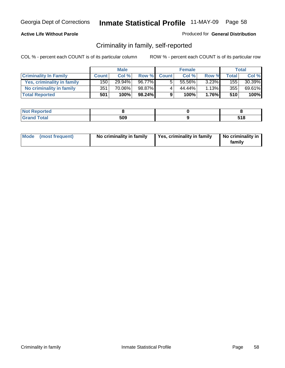#### **Active Life Without Parole**

#### Produced for **General Distribution**

### Criminality in family, self-reported

|                              | <b>Male</b>  |           | <b>Female</b> |              |        | Total    |              |        |
|------------------------------|--------------|-----------|---------------|--------------|--------|----------|--------------|--------|
| <b>Criminality In Family</b> | <b>Count</b> | Col %     | Row %         | <b>Count</b> | Col %  | Row %    | <b>Total</b> | Col %  |
| Yes, criminality in family   | 150          | $29.94\%$ | 96.77%        |              | 55.56% | 3.23%    | 155          | 30.39% |
| No criminality in family     | 351          | 70.06%    | 98.87%        | 4            | 44.44% | 1.13%    | 355          | 69.61% |
| <b>Total Reported</b>        | 501          | 100%      | 98.24%        | 9            | 100%   | $1.76\%$ | 510          | 100%   |

| oorted<br><b>NOT</b><br><b>IJCI</b> |     |              |
|-------------------------------------|-----|--------------|
| $\sim$<br>Grar<br>--                | 509 | E 4 0<br>JIU |

| Mode (most frequent) |  | No criminality in family | Yes, criminality in family | No criminality in<br>family |
|----------------------|--|--------------------------|----------------------------|-----------------------------|
|----------------------|--|--------------------------|----------------------------|-----------------------------|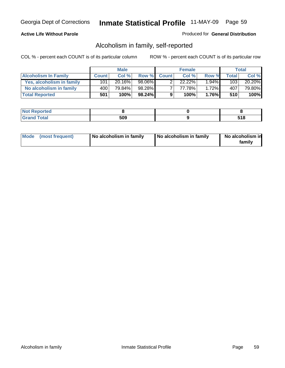#### **Active Life Without Parole**

#### Produced for **General Distribution**

### Alcoholism in family, self-reported

|                             | <b>Male</b>  |        | <b>Female</b> |              |        | Total    |       |        |
|-----------------------------|--------------|--------|---------------|--------------|--------|----------|-------|--------|
| <b>Alcoholism In Family</b> | <b>Count</b> | Col %  | Row %         | <b>Count</b> | Col %  | Row %    | Total | Col %  |
| Yes, alcoholism in family   | 101          | 20.16% | 98.06%        |              | 22.22% | $1.94\%$ | 103   | 20.20% |
| No alcoholism in family     | 400          | 79.84% | 98.28%        |              | 77.78% | 1.72%    | 407   | 79.80% |
| <b>Total Reported</b>       | 501          | 100%   | 98.24%        | 9            | 100%   | 1.76%    | 510   | 100%   |

| oorted<br><b>NOT</b><br><b>IJCI</b> |     |             |
|-------------------------------------|-----|-------------|
| <b>c</b> otal<br>Gran<br>--         | 509 | :4 C<br>JIU |

|  | Mode (most frequent) | No alcoholism in family | No alcoholism in family | No alcoholism in<br>family |
|--|----------------------|-------------------------|-------------------------|----------------------------|
|--|----------------------|-------------------------|-------------------------|----------------------------|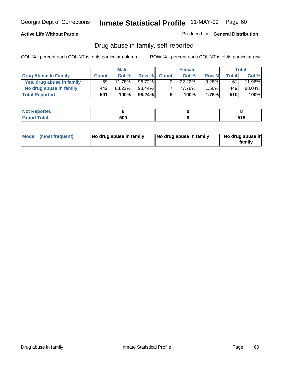#### **Active Life Without Parole**

Produced for **General Distribution**

### Drug abuse in family, self-reported

|                           | <b>Male</b>     |        | <b>Female</b> |              |           | Total    |       |           |
|---------------------------|-----------------|--------|---------------|--------------|-----------|----------|-------|-----------|
| Drug Abuse In Family      | <b>Count</b>    | Col %  | Row %         | <b>Count</b> | Col %     | Row %    | Total | Col %     |
| Yes, drug abuse in family | 59 <sub>1</sub> | 11.78% | 96.72%        |              | $22.22\%$ | $3.28\%$ | 61    | $11.96\%$ |
| No drug abuse in family   | 442             | 88.22% | 98.44%        |              | 77.78%    | $.56\%$  | 449   | 88.04%    |
| <b>Total Reported</b>     | 501             | 100%   | 98.24%        | 9            | 100%      | 1.76%    | 510   | 100%      |

| oorted<br><b>NOT</b><br><b>IJCI</b> |     |              |
|-------------------------------------|-----|--------------|
| $\sim$<br>Grar<br>--                | 509 | E 4 0<br>JIU |

|  | Mode (most frequent) | No drug abuse in family | No drug abuse in family | No drug abuse in<br>familv |
|--|----------------------|-------------------------|-------------------------|----------------------------|
|--|----------------------|-------------------------|-------------------------|----------------------------|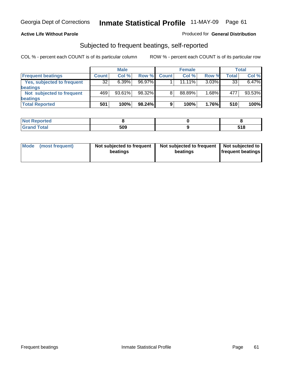#### **Active Life Without Parole**

#### Produced for **General Distribution**

### Subjected to frequent beatings, self-reported

|                            |              | <b>Male</b> |        |              | <b>Female</b> |       |       | <b>Total</b> |
|----------------------------|--------------|-------------|--------|--------------|---------------|-------|-------|--------------|
| <b>Frequent beatings</b>   | <b>Count</b> | Col%        | Row %  | <b>Count</b> | Col%          | Row % | Total | Col %        |
| Yes, subjected to frequent | 32           | 6.39%       | 96.97% |              | 11.11%        | 3.03% | 33    | 6.47%        |
| <b>beatings</b>            |              |             |        |              |               |       |       |              |
| Not subjected to frequent  | 469          | $93.61\%$   | 98.32% | 8            | 88.89%        | 1.68% | 477   | 93.53%       |
| <b>beatings</b>            |              |             |        |              |               |       |       |              |
| <b>Total Reported</b>      | 501          | 100%        | 98.24% | 9            | 100%          | 1.76% | 510   | 100%         |

| <b>Not Reported</b>  |     |              |
|----------------------|-----|--------------|
| <b>Total</b><br>Cron | 509 | E40<br>J I U |

| Mode (most frequent) | Not subjected to frequent<br>beatings | Not subjected to frequent<br>beatings | Not subjected to<br><b>frequent beatings</b> |  |
|----------------------|---------------------------------------|---------------------------------------|----------------------------------------------|--|
|                      |                                       |                                       |                                              |  |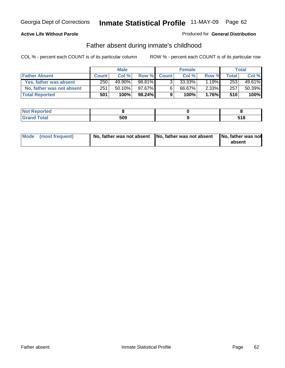#### **Active Life Without Parole**

#### Produced for **General Distribution**

### Father absent during inmate's childhood

|                           | <b>Male</b>  |           |           |              | <b>Female</b> | <b>Total</b> |       |        |
|---------------------------|--------------|-----------|-----------|--------------|---------------|--------------|-------|--------|
| <b>Father Absent</b>      | <b>Count</b> | Col%      | Row %     | <b>Count</b> | Col %         | Row %        | Total | Col %  |
| Yes, father was absent    | 250          | 49.90%    | 98.81%    | 3.           | 33.33%        | $1.19\%$     | 253   | 49.61% |
| No, father was not absent | 251          | $50.10\%$ | 97.67%    | 6            | 66.67%        | $2.33\%$     | 257   | 50.39% |
| <b>Total Reported</b>     | 501          | 100%      | $98.24\%$ | 9            | 100%          | 1.76%        | 510   | 100%   |

| <b>Not Reported</b>        |     |              |
|----------------------------|-----|--------------|
| Гоtal<br>Gran <sub>t</sub> | 509 | E 4 0<br>JIU |

| Mode (most frequent) |  | absent |
|----------------------|--|--------|
|                      |  |        |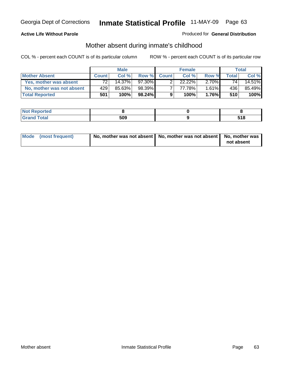### **Active Life Without Parole**

#### Produced for **General Distribution**

# Mother absent during inmate's childhood

|                           | <b>Male</b>  |        |           |              | <b>Female</b> | Total    |       |        |
|---------------------------|--------------|--------|-----------|--------------|---------------|----------|-------|--------|
| <b>Mother Absent</b>      | <b>Count</b> | Col %  | Row %     | <b>Count</b> | Col%          | Row %    | Total | Col %  |
| Yes, mother was absent    | 72           | 14.37% | 97.30%    |              | $22.22\%$     | $2.70\%$ | 741   | 14.51% |
| No, mother was not absent | 429          | 85.63% | 98.39%    |              | 77.78%        | $1.61\%$ | 436   | 85.49% |
| <b>Total Reported</b>     | 501          | 100%   | $98.24\%$ | 9            | 100%          | $1.76\%$ | 510   | 100%   |

| <b>Not Reported</b>        |     |              |
|----------------------------|-----|--------------|
| Гоtal<br>Gran <sub>t</sub> | 509 | E 4 0<br>JIU |

| Mode (most frequent) | No, mother was not absent   No, mother was not absent   No, mother was | not absent |
|----------------------|------------------------------------------------------------------------|------------|
|----------------------|------------------------------------------------------------------------|------------|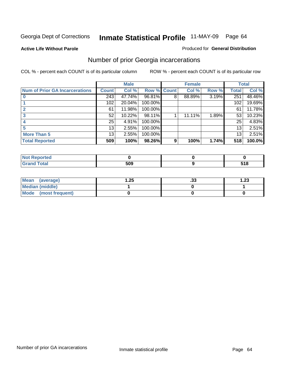**Active Life Without Parole** 

#### Produced for **General Distribution**

### Number of prior Georgia incarcerations

|                                       | <b>Male</b>     |        |                    | <b>Female</b> |        |       | <b>Total</b> |        |
|---------------------------------------|-----------------|--------|--------------------|---------------|--------|-------|--------------|--------|
| <b>Num of Prior GA Incarcerations</b> | <b>Count</b>    | Col %  | <b>Row % Count</b> |               | Col %  | Row % | Total        | Col %  |
|                                       | 243             | 47.74% | 96.81%             | 8             | 88.89% | 3.19% | 251          | 48.46% |
|                                       | 102             | 20.04% | 100.00%            |               |        |       | 102          | 19.69% |
|                                       | 61              | 11.98% | 100.00%            |               |        |       | 61           | 11.78% |
|                                       | 52              | 10.22% | 98.11%             |               | 11.11% | 1.89% | 53           | 10.23% |
|                                       | 25              | 4.91%  | 100.00%            |               |        |       | 25           | 4.83%  |
|                                       | 13              | 2.55%  | 100.00%            |               |        |       | 13           | 2.51%  |
| <b>More Than 5</b>                    | 13 <sub>1</sub> | 2.55%  | 100.00%            |               |        |       | 13           | 2.51%  |
| <b>Total Reported</b>                 | 509             | 100%   | 98.26%             | 9             | 100%   | 1.74% | 518          | 100.0% |

| <b>Reported</b><br><b>NOT</b><br> |     |                     |
|-----------------------------------|-----|---------------------|
| <b>cotal</b>                      | 509 | <b>E40</b><br>J I O |

| Mean (average)       | .25 | . JJ | 1.23 |
|----------------------|-----|------|------|
| Median (middle)      |     |      |      |
| Mode (most frequent) |     |      |      |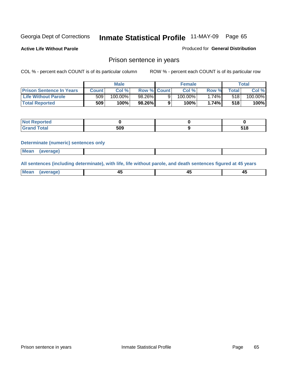**Active Life Without Parole** 

Produced for **General Distribution**

### Prison sentence in years

COL % - percent each COUNT is of its particular column ROW % - percent each COUNT is of its particular row

|                                 | <b>Male</b> |         |                    | <b>Female</b> | Total |             |         |
|---------------------------------|-------------|---------|--------------------|---------------|-------|-------------|---------|
| <b>Prison Sentence In Years</b> | Count⊺      | Col %   | <b>Row % Count</b> | Col %         | Row % | $\tau$ otal | Col %   |
| <b>Life Without Parole</b>      | 509         | 100.00% | 98.26%             | 100.00%       | .74%  | 518         | 100.00% |
| <b>Total Reported</b>           | 509         | 100%    | 98.26%             | 100%          | 1.74% | 518         | 100%    |

| <b>Reported</b>                  |     |              |  |
|----------------------------------|-----|--------------|--|
| <b>Total</b><br>$\mathsf{C}$ and | 509 | E40<br>၁ ၊ ဝ |  |

#### **Determinate (numeric) sentences only**

| <b>Mean</b> | (average) |  |  |
|-------------|-----------|--|--|

**All sentences (including determinate), with life, life without parole, and death sentences figured at 45 years**

| Me<br>98 V B<br>- -<br><del>.</del><br>$\sim$<br>__ | . .<br>$\sim$ |
|-----------------------------------------------------|---------------|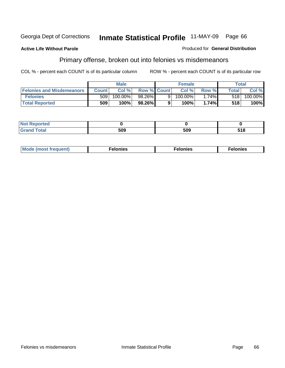#### **Active Life Without Parole**

#### Produced for **General Distribution**

### Primary offense, broken out into felonies vs misdemeanors

|                                  | <b>Male</b>      |         |                    | <b>Female</b> |            |          | Total  |         |  |
|----------------------------------|------------------|---------|--------------------|---------------|------------|----------|--------|---------|--|
| <b>Felonies and Misdemeanors</b> | Count l          | Col %   | <b>Row % Count</b> |               | Col%       | Row %    | Total. | Col %   |  |
| <b>Felonies</b>                  | 509 <sub>1</sub> | 100.00% | 98.26%             | 91            | $100.00\%$ | $1.74\%$ | 5181   | 100.00% |  |
| <b>Total Reported</b>            | 509              | 100%    | 98.26%             |               | 100%       | 1.74%    | 518    | 100%    |  |

| <b>Not</b><br><b>Reported</b><br>. |            |     |                |
|------------------------------------|------------|-----|----------------|
| Gra                                | -00<br>פטע | 509 | E 4 0<br>ວ ເ ໐ |

| M <sub>0</sub><br>. | צאור<br>. | . |
|---------------------|-----------|---|
|---------------------|-----------|---|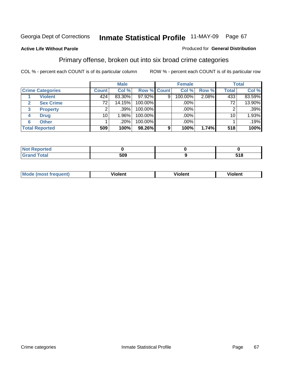#### **Active Life Without Parole**

#### Produced for **General Distribution**

### Primary offense, broken out into six broad crime categories

|                                    |                 | <b>Male</b> |             | <b>Female</b> |         |       | <b>Total</b> |         |
|------------------------------------|-----------------|-------------|-------------|---------------|---------|-------|--------------|---------|
| <b>Crime Categories</b>            | <b>Count</b>    | Col %       | Row % Count |               | Col %   | Row % | <b>Total</b> | Col %   |
| <b>Violent</b>                     | 424             | 83.30%      | $97.92\%$   | 9             | 100.00% | 2.08% | 433          | 83.59%  |
| <b>Sex Crime</b><br>$\overline{2}$ | 72              | 14.15%      | 100.00%     |               | .00%    |       | 72           | 13.90%  |
| <b>Property</b><br>3               | 2               | .39%        | 100.00%     |               | .00%    |       | 2            | $.39\%$ |
| <b>Drug</b><br>4                   | 10 <sub>1</sub> | 1.96%       | 100.00%     |               | $.00\%$ |       | 10           | 1.93%   |
| <b>Other</b><br>6                  |                 | .20%        | 100.00%     |               | .00%    |       |              | .19%    |
| <b>Total Reported</b>              | 509             | 100%        | 98.26%      | 9             | 100%    | 1.74% | 518          | 100%    |

| Reported<br>NG<br>.         |     |     |
|-----------------------------|-----|-----|
| <b>Total</b><br><b>CHAH</b> | 509 | 518 |

| M | -------- | . |  |
|---|----------|---|--|
|   |          |   |  |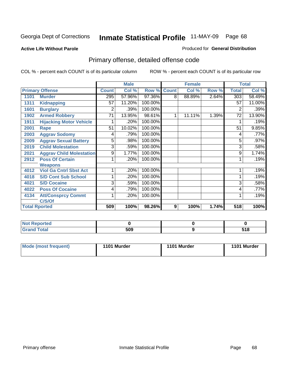#### **Active Life Without Parole**

#### Produced for **General Distribution**

# Primary offense, detailed offense code

|      |                                 |              | <b>Male</b> |         |              | <b>Female</b> |       |              | <b>Total</b> |
|------|---------------------------------|--------------|-------------|---------|--------------|---------------|-------|--------------|--------------|
|      | <b>Primary Offense</b>          | <b>Count</b> | Col %       | Row %   | <b>Count</b> | Col %         | Row % | <b>Total</b> | Col %        |
| 1101 | <b>Murder</b>                   | 295          | 57.96%      | 97.36%  | 8            | 88.89%        | 2.64% | 303          | 58.49%       |
| 1311 | <b>Kidnapping</b>               | 57           | 11.20%      | 100.00% |              |               |       | 57           | 11.00%       |
| 1601 | <b>Burglary</b>                 | 2            | .39%        | 100.00% |              |               |       | 2            | .39%         |
| 1902 | <b>Armed Robbery</b>            | 71           | 13.95%      | 98.61%  | 1            | 11.11%        | 1.39% | 72           | 13.90%       |
| 1911 | <b>Hijacking Motor Vehicle</b>  |              | .20%        | 100.00% |              |               |       |              | .19%         |
| 2001 | Rape                            | 51           | 10.02%      | 100.00% |              |               |       | 51           | 9.85%        |
| 2003 | <b>Aggrav Sodomy</b>            | 4            | .79%        | 100.00% |              |               |       | 4            | .77%         |
| 2009 | <b>Aggrav Sexual Battery</b>    | 5            | .98%        | 100.00% |              |               |       | 5            | $.97\%$      |
| 2019 | <b>Child Molestation</b>        | 3            | .59%        | 100.00% |              |               |       | 3            | .58%         |
| 2021 | <b>Aggrav Child Molestation</b> | 9            | 1.77%       | 100.00% |              |               |       | 9            | 1.74%        |
| 2912 | <b>Poss Of Certain</b>          |              | .20%        | 100.00% |              |               |       |              | .19%         |
|      | <b>Weapons</b>                  |              |             |         |              |               |       |              |              |
| 4012 | <b>Viol Ga Cntrl Sbst Act</b>   |              | .20%        | 100.00% |              |               |       |              | .19%         |
| 4018 | <b>S/D Cont Sub School</b>      |              | .20%        | 100.00% |              |               |       |              | .19%         |
| 4021 | <b>S/D Cocaine</b>              | 3            | .59%        | 100.00% |              |               |       | 3            | .58%         |
| 4022 | <b>Poss Of Cocaine</b>          | 4            | .79%        | 100.00% |              |               |       | 4            | .77%         |
| 4134 | <b>Att/Consprcy Commt</b>       | 1            | .20%        | 100.00% |              |               |       | 1            | .19%         |
|      | C/S/Of                          |              |             |         |              |               |       |              |              |
|      | <b>Total Rported</b>            | 509          | 100%        | 98.26%  | 9            | 100%          | 1.74% | 518          | 100%         |

| Reported                  |     |              |
|---------------------------|-----|--------------|
| <b>r</b> otal<br>$\sim$ . | 509 | 54 O<br>טו נ |

| Mode (most frequent) | 1101 Murder | 1101 Murder | 1101 Murder |
|----------------------|-------------|-------------|-------------|
|----------------------|-------------|-------------|-------------|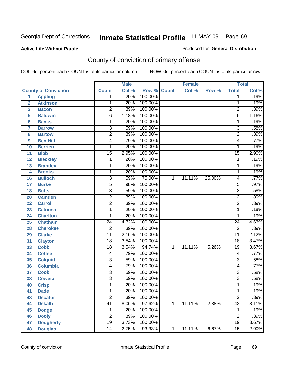Produced for **General Distribution**

#### **Active Life Without Parole**

# County of conviction of primary offense

|                 |                             |                 | <b>Male</b> |                    |   | <b>Female</b> |        |                 | <b>Total</b> |
|-----------------|-----------------------------|-----------------|-------------|--------------------|---|---------------|--------|-----------------|--------------|
|                 | <b>County of Conviction</b> | <b>Count</b>    | Col %       | <b>Row % Count</b> |   | Col %         | Row %  | <b>Total</b>    | Col %        |
| 1               | <b>Appling</b>              | 1               | .20%        | 100.00%            |   |               |        | 1               | .19%         |
| $\overline{2}$  | <b>Atkinson</b>             | 1               | .20%        | 100.00%            |   |               |        | 1               | .19%         |
| 3               | <b>Bacon</b>                | $\overline{2}$  | .39%        | 100.00%            |   |               |        | $\overline{2}$  | .39%         |
| 5               | <b>Baldwin</b>              | $\overline{6}$  | 1.18%       | 100.00%            |   |               |        | 6               | 1.16%        |
| $6\phantom{a}$  | <b>Banks</b>                | 1               | .20%        | 100.00%            |   |               |        | $\mathbf{1}$    | .19%         |
| $\overline{7}$  | <b>Barrow</b>               | 3               | .59%        | 100.00%            |   |               |        | $\overline{3}$  | .58%         |
| 8               | <b>Bartow</b>               | $\overline{2}$  | .39%        | 100.00%            |   |               |        | $\overline{2}$  | .39%         |
| 9               | <b>Ben Hill</b>             | 4               | .79%        | 100.00%            |   |               |        | 4               | .77%         |
| 10              | <b>Berrien</b>              | 1               | .20%        | 100.00%            |   |               |        | 1               | .19%         |
| 11              | <b>Bibb</b>                 | $\overline{15}$ | 2.95%       | 100.00%            |   |               |        | $\overline{15}$ | 2.90%        |
| 12              | <b>Bleckley</b>             | 1               | .20%        | 100.00%            |   |               |        | 1               | .19%         |
| 13              | <b>Brantley</b>             | 1               | .20%        | 100.00%            |   |               |        | 1               | .19%         |
| $\overline{14}$ | <b>Brooks</b>               | 1               | .20%        | 100.00%            |   |               |        | $\mathbf{1}$    | .19%         |
| 16              | <b>Bulloch</b>              | 3               | .59%        | 75.00%             | 1 | 11.11%        | 25.00% | 4               | .77%         |
| 17              | <b>Burke</b>                | $\overline{5}$  | .98%        | 100.00%            |   |               |        | $\overline{5}$  | .97%         |
| 18              | <b>Butts</b>                | $\overline{3}$  | .59%        | 100.00%            |   |               |        | $\overline{3}$  | .58%         |
| 20              | <b>Camden</b>               | $\overline{2}$  | .39%        | 100.00%            |   |               |        | $\overline{2}$  | .39%         |
| 22              | <b>Carroll</b>              | $\overline{2}$  | .39%        | 100.00%            |   |               |        | $\overline{2}$  | .39%         |
| 23              | <b>Catoosa</b>              | 1               | .20%        | 100.00%            |   |               |        | $\mathbf{1}$    | .19%         |
| 24              | <b>Charlton</b>             | 1               | .20%        | 100.00%            |   |               |        | 1               | .19%         |
| 25              | <b>Chatham</b>              | $\overline{24}$ | 4.72%       | 100.00%            |   |               |        | $\overline{24}$ | 4.63%        |
| 28              | <b>Cherokee</b>             | $\overline{2}$  | .39%        | 100.00%            |   |               |        | $\overline{2}$  | .39%         |
| 29              | <b>Clarke</b>               | $\overline{11}$ | 2.16%       | 100.00%            |   |               |        | $\overline{11}$ | 2.12%        |
| 31              | <b>Clayton</b>              | 18              | 3.54%       | 100.00%            |   |               |        | 18              | 3.47%        |
| 33              | <b>Cobb</b>                 | $\overline{18}$ | 3.54%       | 94.74%             | 1 | 11.11%        | 5.26%  | $\overline{19}$ | 3.67%        |
| 34              | <b>Coffee</b>               | 4               | .79%        | 100.00%            |   |               |        | 4               | .77%         |
| 35              | <b>Colquitt</b>             | $\overline{3}$  | .59%        | 100.00%            |   |               |        | $\overline{3}$  | .58%         |
| 36              | <b>Columbia</b>             | 4               | .79%        | 100.00%            |   |               |        | 4               | .77%         |
| 37              | <b>Cook</b>                 | $\overline{3}$  | .59%        | 100.00%            |   |               |        | $\overline{3}$  | .58%         |
| 38              | <b>Coweta</b>               | 3               | .59%        | 100.00%            |   |               |        | $\overline{3}$  | .58%         |
| 40              | <b>Crisp</b>                | 1               | .20%        | 100.00%            |   |               |        | 1               | .19%         |
| 41              | <b>Dade</b>                 | 1               | .20%        | 100.00%            |   |               |        | 1               | .19%         |
| 43              | <b>Decatur</b>              | $\overline{2}$  | .39%        | 100.00%            |   |               |        | $\overline{2}$  | .39%         |
| 44              | <b>Dekalb</b>               | $\overline{41}$ | 8.06%       | 97.62%             | 1 | 11.11%        | 2.38%  | $\overline{42}$ | 8.11%        |
| 45              | <b>Dodge</b>                | 1               | .20%        | 100.00%            |   |               |        | 1               | .19%         |
| 46              | <b>Dooly</b>                | $\overline{2}$  | .39%        | 100.00%            |   |               |        | $\overline{2}$  | .39%         |
| 47              | <b>Dougherty</b>            | $\overline{19}$ | 3.73%       | 100.00%            |   |               |        | $\overline{19}$ | 3.67%        |
| 48              | <b>Douglas</b>              | 14              | 2.75%       | 93.33%             | 1 | 11.11%        | 6.67%  | $\overline{15}$ | 2.90%        |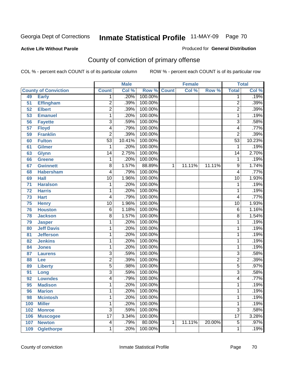Produced for **General Distribution**

#### **Active Life Without Parole**

# County of conviction of primary offense

|                 |                             |                 | <b>Male</b> |         |              | <b>Female</b> |        |                 | <b>Total</b> |
|-----------------|-----------------------------|-----------------|-------------|---------|--------------|---------------|--------|-----------------|--------------|
|                 | <b>County of Conviction</b> | <b>Count</b>    | Col %       | Row %   | <b>Count</b> | Col %         | Row %  | <b>Total</b>    | Col %        |
| 49              | <b>Early</b>                | 1               | .20%        | 100.00% |              |               |        | 1               | .19%         |
| 51              | <b>Effingham</b>            | $\overline{2}$  | .39%        | 100.00% |              |               |        | $\overline{2}$  | .39%         |
| 52              | <b>Elbert</b>               | $\overline{2}$  | .39%        | 100.00% |              |               |        | $\overline{2}$  | .39%         |
| 53              | <b>Emanuel</b>              | 1               | .20%        | 100.00% |              |               |        | $\mathbf{1}$    | .19%         |
| 56              | <b>Fayette</b>              | 3               | .59%        | 100.00% |              |               |        | $\overline{3}$  | .58%         |
| $\overline{57}$ | <b>Floyd</b>                | 4               | .79%        | 100.00% |              |               |        | 4               | .77%         |
| 59              | <b>Franklin</b>             | $\overline{2}$  | .39%        | 100.00% |              |               |        | $\overline{2}$  | .39%         |
| 60              | <b>Fulton</b>               | $\overline{53}$ | 10.41%      | 100.00% |              |               |        | $\overline{53}$ | 10.23%       |
| 61              | <b>Gilmer</b>               | 1               | .20%        | 100.00% |              |               |        | 1               | .19%         |
| 63              | <b>Glynn</b>                | $\overline{14}$ | 2.75%       | 100.00% |              |               |        | $\overline{14}$ | 2.70%        |
| 66              | <b>Greene</b>               | 1               | .20%        | 100.00% |              |               |        | 1               | .19%         |
| 67              | <b>Gwinnett</b>             | 8               | 1.57%       | 88.89%  | 1            | 11.11%        | 11.11% | 9               | 1.74%        |
| 68              | <b>Habersham</b>            | 4               | .79%        | 100.00% |              |               |        | 4               | .77%         |
| 69              | <b>Hall</b>                 | $\overline{10}$ | 1.96%       | 100.00% |              |               |        | $\overline{10}$ | 1.93%        |
| $\overline{71}$ | <b>Haralson</b>             | 1               | .20%        | 100.00% |              |               |        | 1               | .19%         |
| 72              | <b>Harris</b>               | 1               | .20%        | 100.00% |              |               |        | 1               | .19%         |
| 73              | <b>Hart</b>                 | 4               | .79%        | 100.00% |              |               |        | 4               | .77%         |
| $\overline{75}$ | <b>Henry</b>                | $\overline{10}$ | 1.96%       | 100.00% |              |               |        | 10              | 1.93%        |
| 76              | <b>Houston</b>              | $\overline{6}$  | 1.18%       | 100.00% |              |               |        | 6               | 1.16%        |
| 78              | <b>Jackson</b>              | 8               | 1.57%       | 100.00% |              |               |        | 8               | 1.54%        |
| 79              | <b>Jasper</b>               | 1               | .20%        | 100.00% |              |               |        | 1               | .19%         |
| 80              | <b>Jeff Davis</b>           | 1               | .20%        | 100.00% |              |               |        | 1               | .19%         |
| 81              | <b>Jefferson</b>            | 1               | .20%        | 100.00% |              |               |        | 1               | .19%         |
| 82              | <b>Jenkins</b>              | 1               | .20%        | 100.00% |              |               |        | 1               | .19%         |
| 84              | <b>Jones</b>                | 1               | .20%        | 100.00% |              |               |        | 1               | .19%         |
| 87              | <b>Laurens</b>              | $\overline{3}$  | .59%        | 100.00% |              |               |        | $\overline{3}$  | .58%         |
| 88              | Lee                         | $\overline{2}$  | .39%        | 100.00% |              |               |        | $\overline{2}$  | .39%         |
| 89              | <b>Liberty</b>              | $\overline{5}$  | .98%        | 100.00% |              |               |        | $\overline{5}$  | .97%         |
| 91              | Long                        | $\overline{3}$  | .59%        | 100.00% |              |               |        | $\overline{3}$  | .58%         |
| 92              | <b>Lowndes</b>              | 4               | .79%        | 100.00% |              |               |        | 4               | .77%         |
| 95              | <b>Madison</b>              | 1               | .20%        | 100.00% |              |               |        | 1               | .19%         |
| 96              | <b>Marion</b>               | 1               | .20%        | 100.00% |              |               |        | 1               | .19%         |
| 98              | <b>Mcintosh</b>             | 1               | .20%        | 100.00% |              |               |        | 1               | .19%         |
| 100             | <b>Miller</b>               | 1               | .20%        | 100.00% |              |               |        | 1               | .19%         |
| 102             | <b>Monroe</b>               | $\overline{3}$  | .59%        | 100.00% |              |               |        | $\overline{3}$  | .58%         |
| 106             | <b>Muscogee</b>             | $\overline{17}$ | 3.34%       | 100.00% |              |               |        | $\overline{17}$ | 3.28%        |
| 107             | <b>Newton</b>               | 4               | .79%        | 80.00%  | 1            | 11.11%        | 20.00% | $\overline{5}$  | .97%         |
| 109             | <b>Oglethorpe</b>           | 1               | .20%        | 100.00% |              |               |        | 1               | .19%         |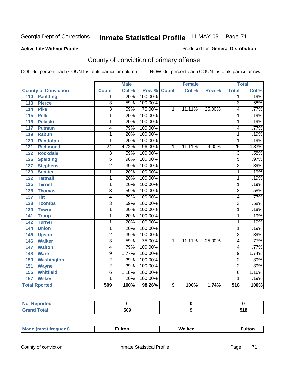#### **Active Life Without Parole**

#### Produced for **General Distribution**

# County of conviction of primary offense

|                                     |                 | <b>Male</b> |                    |   | <b>Female</b> |        | <b>Total</b>    |       |
|-------------------------------------|-----------------|-------------|--------------------|---|---------------|--------|-----------------|-------|
| <b>County of Conviction</b>         | <b>Count</b>    | Col %       | <b>Row % Count</b> |   | Col %         | Row %  | <b>Total</b>    | Col % |
| 110<br><b>Paulding</b>              | 1               | .20%        | 100.00%            |   |               |        | $\overline{1}$  | .19%  |
| $\overline{113}$<br><b>Pierce</b>   | $\overline{3}$  | .59%        | 100.00%            |   |               |        | $\overline{3}$  | .58%  |
| <b>Pike</b><br>114                  | $\overline{3}$  | .59%        | 75.00%             | 1 | 11.11%        | 25.00% | 4               | .77%  |
| $\overline{115}$<br><b>Polk</b>     | 1               | .20%        | 100.00%            |   |               |        | 1               | .19%  |
| $\frac{116}{116}$<br><b>Pulaski</b> | 1               | .20%        | 100.00%            |   |               |        | 1               | .19%  |
| 117<br><b>Putnam</b>                | 4               | .79%        | 100.00%            |   |               |        | 4               | .77%  |
| 119<br><b>Rabun</b>                 | 1               | .20%        | 100.00%            |   |               |        | $\mathbf{1}$    | .19%  |
| <b>Randolph</b><br>120              | 1               | .20%        | 100.00%            |   |               |        | 1               | .19%  |
| $\overline{121}$<br><b>Richmond</b> | $\overline{24}$ | 4.72%       | 96.00%             | 1 | 11.11%        | 4.00%  | $\overline{25}$ | 4.83% |
| <b>Rockdale</b><br>122              | 3               | .59%        | 100.00%            |   |               |        | 3               | .58%  |
| <b>Spalding</b><br>126              | $\overline{5}$  | .98%        | 100.00%            |   |               |        | 5               | .97%  |
| <b>Stephens</b><br>127              | $\overline{2}$  | .39%        | 100.00%            |   |               |        | $\overline{2}$  | .39%  |
| 129<br><b>Sumter</b>                | 1               | .20%        | 100.00%            |   |               |        | $\overline{1}$  | .19%  |
| <b>Tattnall</b><br>132              | 1               | .20%        | 100.00%            |   |               |        | 1               | .19%  |
| <b>Terrell</b><br>135               | 1               | .20%        | 100.00%            |   |               |        | 1               | .19%  |
| 136<br><b>Thomas</b>                | $\overline{3}$  | .59%        | 100.00%            |   |               |        | 3               | .58%  |
| <b>Tift</b><br>137                  | 4               | .79%        | 100.00%            |   |               |        | 4               | .77%  |
| <b>Toombs</b><br>138                | $\overline{3}$  | .59%        | 100.00%            |   |               |        | $\overline{3}$  | .58%  |
| 139<br><b>Towns</b>                 | 1               | .20%        | 100.00%            |   |               |        | $\mathbf{1}$    | .19%  |
| 141<br><b>Troup</b>                 | 1               | .20%        | 100.00%            |   |               |        | 1               | .19%  |
| 142<br><b>Turner</b>                | 1               | .20%        | 100.00%            |   |               |        | $\mathbf{1}$    | .19%  |
| <b>Union</b><br>144                 | 1               | .20%        | 100.00%            |   |               |        | $\mathbf{1}$    | .19%  |
| 145<br><b>Upson</b>                 | $\overline{2}$  | .39%        | 100.00%            |   |               |        | $\overline{2}$  | .39%  |
| <b>Walker</b><br>146                | $\overline{3}$  | .59%        | 75.00%             | 1 | 11.11%        | 25.00% | 4               | .77%  |
| <b>Walton</b><br>147                | 4               | .79%        | 100.00%            |   |               |        | 4               | .77%  |
| <b>Ware</b><br>148                  | $\overline{9}$  | 1.77%       | 100.00%            |   |               |        | $\overline{9}$  | 1.74% |
| 150<br><b>Washington</b>            | $\overline{2}$  | .39%        | 100.00%            |   |               |        | $\overline{2}$  | .39%  |
| 151<br><b>Wayne</b>                 | $\overline{2}$  | .39%        | 100.00%            |   |               |        | $\overline{2}$  | .39%  |
| 155<br><b>Whitfield</b>             | $\overline{6}$  | 1.18%       | 100.00%            |   |               |        | $\overline{6}$  | 1.16% |
| <b>Wilkes</b><br>157                | 1               | .20%        | 100.00%            |   |               |        | 1               | .19%  |
| <b>Total Rported</b>                | 509             | 100%        | 98.26%             | 9 | 100%          | 1.74%  | 518             | 100%  |

| Reported     |     |             |
|--------------|-----|-------------|
| <b>Total</b> | 509 | E4 C<br>JIU |

| _____ |  | Мe | τοη<br>ur. | <b>Walker</b> | ultor |
|-------|--|----|------------|---------------|-------|
|-------|--|----|------------|---------------|-------|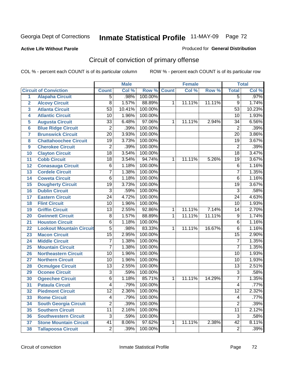#### **Active Life Without Parole**

#### Produced for **General Distribution**

# Circuit of conviction of primary offense

|                         |                                 |                 | <b>Male</b> |         |              | <b>Female</b> |        |                 | <b>Total</b> |
|-------------------------|---------------------------------|-----------------|-------------|---------|--------------|---------------|--------|-----------------|--------------|
|                         | <b>Circuit of Conviction</b>    | <b>Count</b>    | Col %       | Row %   | <b>Count</b> | Col %         | Row %  | <b>Total</b>    | Col %        |
| 1                       | <b>Alapaha Circuit</b>          | $\overline{5}$  | .98%        | 100.00% |              |               |        | 5               | .97%         |
| $\overline{2}$          | <b>Alcovy Circuit</b>           | $\overline{8}$  | 1.57%       | 88.89%  | 1            | 11.11%        | 11.11% | $\overline{9}$  | 1.74%        |
| $\overline{\mathbf{3}}$ | <b>Atlanta Circuit</b>          | $\overline{53}$ | 10.41%      | 100.00% |              |               |        | $\overline{53}$ | 10.23%       |
| 4                       | <b>Atlantic Circuit</b>         | $\overline{10}$ | 1.96%       | 100.00% |              |               |        | 10              | 1.93%        |
| 5                       | <b>Augusta Circuit</b>          | $\overline{33}$ | 6.48%       | 97.06%  | 1            | 11.11%        | 2.94%  | 34              | 6.56%        |
| $6\phantom{a}$          | <b>Blue Ridge Circuit</b>       | $\overline{2}$  | .39%        | 100.00% |              |               |        | $\overline{2}$  | .39%         |
| $\overline{\mathbf{7}}$ | <b>Brunswick Circuit</b>        | $\overline{20}$ | 3.93%       | 100.00% |              |               |        | $\overline{20}$ | 3.86%        |
| 8                       | <b>Chattahoochee Circuit</b>    | $\overline{19}$ | 3.73%       | 100.00% |              |               |        | $\overline{19}$ | 3.67%        |
| 9                       | <b>Cherokee Circuit</b>         | $\overline{2}$  | .39%        | 100.00% |              |               |        | $\overline{2}$  | .39%         |
| 10                      | <b>Clayton Circuit</b>          | $\overline{18}$ | 3.54%       | 100.00% |              |               |        | $\overline{18}$ | 3.47%        |
| 11                      | <b>Cobb Circuit</b>             | 18              | 3.54%       | 94.74%  | 1            | 11.11%        | 5.26%  | 19              | 3.67%        |
| 12                      | <b>Conasauga Circuit</b>        | $\overline{6}$  | 1.18%       | 100.00% |              |               |        | $\overline{6}$  | 1.16%        |
| $\overline{13}$         | <b>Cordele Circuit</b>          | 7               | 1.38%       | 100.00% |              |               |        | $\overline{7}$  | 1.35%        |
| 14                      | <b>Coweta Circuit</b>           | $\overline{6}$  | 1.18%       | 100.00% |              |               |        | $\overline{6}$  | 1.16%        |
| 15                      | <b>Dougherty Circuit</b>        | $\overline{19}$ | 3.73%       | 100.00% |              |               |        | $\overline{19}$ | 3.67%        |
| 16                      | <b>Dublin Circuit</b>           | $\overline{3}$  | .59%        | 100.00% |              |               |        | $\overline{3}$  | .58%         |
| 17                      | <b>Eastern Circuit</b>          | $\overline{24}$ | 4.72%       | 100.00% |              |               |        | 24              | 4.63%        |
| 18                      | <b>Flint Circuit</b>            | $\overline{10}$ | 1.96%       | 100.00% |              |               |        | 10              | 1.93%        |
| 19                      | <b>Griffin Circuit</b>          | $\overline{13}$ | 2.55%       | 92.86%  | $\mathbf{1}$ | 11.11%        | 7.14%  | 14              | 2.70%        |
| 20                      | <b>Gwinnett Circuit</b>         | $\overline{8}$  | 1.57%       | 88.89%  | 1            | 11.11%        | 11.11% | $\overline{9}$  | 1.74%        |
| 21                      | <b>Houston Circuit</b>          | 6               | 1.18%       | 100.00% |              |               |        | $\overline{6}$  | 1.16%        |
| 22                      | <b>Lookout Mountain Circuit</b> | $\overline{5}$  | .98%        | 83.33%  | 1            | 11.11%        | 16.67% | 6               | 1.16%        |
| 23                      | <b>Macon Circuit</b>            | $\overline{15}$ | 2.95%       | 100.00% |              |               |        | $\overline{15}$ | 2.90%        |
| 24                      | <b>Middle Circuit</b>           | $\overline{7}$  | 1.38%       | 100.00% |              |               |        | $\overline{7}$  | 1.35%        |
| 25                      | <b>Mountain Circuit</b>         | 7               | 1.38%       | 100.00% |              |               |        | $\overline{7}$  | 1.35%        |
| 26                      | <b>Northeastern Circuit</b>     | $\overline{10}$ | 1.96%       | 100.00% |              |               |        | $\overline{10}$ | 1.93%        |
| 27                      | <b>Northern Circuit</b>         | 10              | 1.96%       | 100.00% |              |               |        | 10              | 1.93%        |
| 28                      | <b>Ocmulgee Circuit</b>         | $\overline{13}$ | 2.55%       | 100.00% |              |               |        | $\overline{13}$ | 2.51%        |
| 29                      | <b>Oconee Circuit</b>           | $\overline{3}$  | .59%        | 100.00% |              |               |        | $\overline{3}$  | .58%         |
| 30                      | <b>Ogeechee Circuit</b>         | $\overline{6}$  | 1.18%       | 85.71%  | 1            | 11.11%        | 14.29% | $\overline{7}$  | 1.35%        |
| $\overline{31}$         | <b>Pataula Circuit</b>          | 4               | .79%        | 100.00% |              |               |        | 4               | .77%         |
| 32                      | <b>Piedmont Circuit</b>         | 12              | 2.36%       | 100.00% |              |               |        | 12              | 2.32%        |
| 33                      | <b>Rome Circuit</b>             | 4               | .79%        | 100.00% |              |               |        | 4               | .77%         |
| 34                      | <b>South Georgia Circuit</b>    | $\overline{2}$  | .39%        | 100.00% |              |               |        | $\overline{2}$  | .39%         |
| 35                      | <b>Southern Circuit</b>         | $\overline{11}$ | 2.16%       | 100.00% |              |               |        | $\overline{11}$ | 2.12%        |
| 36                      | <b>Southwestern Circuit</b>     | $\overline{3}$  | .59%        | 100.00% |              |               |        | 3               | .58%         |
| 37                      | <b>Stone Mountain Circuit</b>   | 41              | 8.06%       | 97.62%  | 1            | 11.11%        | 2.38%  | $\overline{42}$ | 8.11%        |
| 38                      | <b>Tallapoosa Circuit</b>       | $\overline{2}$  | .39%        | 100.00% |              |               |        | $\overline{2}$  | .39%         |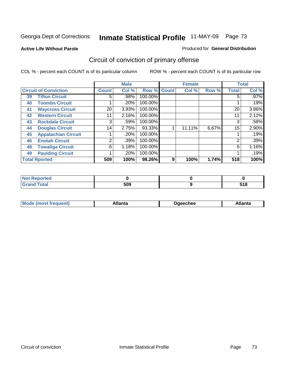**Active Life Without Parole** 

#### Produced for **General Distribution**

# Circuit of conviction of primary offense

|                      |                              |              | <b>Male</b> |         | <b>Female</b> |        |       | <b>Total</b> |         |
|----------------------|------------------------------|--------------|-------------|---------|---------------|--------|-------|--------------|---------|
|                      | <b>Circuit of Conviction</b> | <b>Count</b> | Col %       | Row %   | <b>Count</b>  | Col %  | Row % | <b>Total</b> | Col %   |
| 39                   | <b>Tifton Circuit</b>        | 5            | .98%        | 100.00% |               |        |       | 5            | $.97\%$ |
| 40                   | <b>Toombs Circuit</b>        |              | .20%        | 100.00% |               |        |       |              | .19%    |
| 41                   | <b>Waycross Circuit</b>      | 20           | 3.93%       | 100.00% |               |        |       | 20           | 3.86%   |
| 42                   | <b>Western Circuit</b>       | 11           | 2.16%       | 100.00% |               |        |       | 11           | 2.12%   |
| 43                   | <b>Rockdale Circuit</b>      | 3            | .59%        | 100.00% |               |        |       | 3            | .58%    |
| 44                   | <b>Douglas Circuit</b>       | 14           | 2.75%       | 93.33%  |               | 11.11% | 6.67% | 15           | 2.90%   |
| 45                   | <b>Appalachian Circuit</b>   |              | .20%        | 100.00% |               |        |       |              | .19%    |
| 46                   | <b>Enotah Circuit</b>        | 2            | $.39\%$     | 100.00% |               |        |       | 2            | .39%    |
| 48                   | <b>Towaliga Circuit</b>      | 6            | 1.18%       | 100.00% |               |        |       | 6            | 1.16%   |
| 49                   | <b>Paulding Circuit</b>      |              | .20%        | 100.00% |               |        |       |              | .19%    |
| <b>Total Rported</b> |                              | 509          | 100%        | 98.26%  | 9             | 100%   | 1.74% | 518          | 100%    |

| тео |     |                     |
|-----|-----|---------------------|
|     | 509 | 54 O<br>JIU<br>$ -$ |

| <b>Mo</b><br>$\blacksquare$<br>'rer<br>ו ואח | .tlantə | Jaeechee | \tlanta |
|----------------------------------------------|---------|----------|---------|
|----------------------------------------------|---------|----------|---------|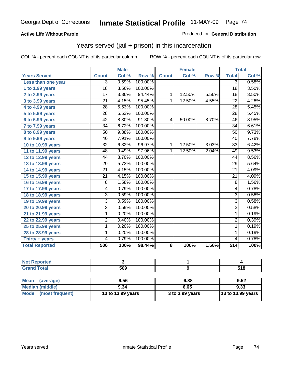### **Active Life Without Parole**

#### Produced for **General Distribution**

## Years served (jail + prison) in this incarceration

|                       |                 | <b>Male</b> |         |                | <b>Female</b> |                  | <b>Total</b>     |       |
|-----------------------|-----------------|-------------|---------|----------------|---------------|------------------|------------------|-------|
| <b>Years Served</b>   | <b>Count</b>    | Col %       | Row %   | <b>Count</b>   | Col %         | Row <sup>7</sup> | <b>Total</b>     | Col % |
| Less than one year    | 3               | 0.59%       | 100.00% |                |               |                  | $\overline{3}$   | 0.58% |
| 1 to 1.99 years       | 18              | 3.56%       | 100.00% |                |               |                  | 18               | 3.50% |
| 2 to 2.99 years       | $\overline{17}$ | 3.36%       | 94.44%  | $\mathbf{1}$   | 12.50%        | 5.56%            | $\overline{18}$  | 3.50% |
| 3 to 3.99 years       | $\overline{21}$ | 4.15%       | 95.45%  | 1              | 12.50%        | 4.55%            | $\overline{22}$  | 4.28% |
| 4 to 4.99 years       | $\overline{28}$ | 5.53%       | 100.00% |                |               |                  | $\overline{28}$  | 5.45% |
| 5 to 5.99 years       | $\overline{28}$ | 5.53%       | 100.00% |                |               |                  | $\overline{28}$  | 5.45% |
| 6 to 6.99 years       | $\overline{42}$ | 8.30%       | 91.30%  | 4              | 50.00%        | 8.70%            | $\overline{46}$  | 8.95% |
| 7 to 7.99 years       | $\overline{34}$ | 6.72%       | 100.00% |                |               |                  | $\overline{34}$  | 6.61% |
| 8 to 8.99 years       | 50              | 9.88%       | 100.00% |                |               |                  | $\overline{50}$  | 9.73% |
| 9 to 9.99 years       | 40              | 7.91%       | 100.00% |                |               |                  | 40               | 7.78% |
| 10 to 10.99 years     | $\overline{32}$ | 6.32%       | 96.97%  | $\mathbf{1}$   | 12.50%        | 3.03%            | 33               | 6.42% |
| 11 to 11.99 years     | $\overline{48}$ | 9.49%       | 97.96%  | $\overline{1}$ | 12.50%        | 2.04%            | 49               | 9.53% |
| 12 to 12.99 years     | 44              | 8.70%       | 100.00% |                |               |                  | 44               | 8.56% |
| 13 to 13.99 years     | $\overline{29}$ | 5.73%       | 100.00% |                |               |                  | $\overline{29}$  | 5.64% |
| 14 to 14.99 years     | $\overline{21}$ | 4.15%       | 100.00% |                |               |                  | $\overline{21}$  | 4.09% |
| 15 to 15.99 years     | $\overline{21}$ | 4.15%       | 100.00% |                |               |                  | $\overline{21}$  | 4.09% |
| 16 to 16.99 years     | 8               | 1.58%       | 100.00% |                |               |                  | 8                | 1.56% |
| 17 to 17.99 years     | 4               | 0.79%       | 100.00% |                |               |                  | 4                | 0.78% |
| 18 to 18.99 years     | $\overline{3}$  | 0.59%       | 100.00% |                |               |                  | $\overline{3}$   | 0.58% |
| 19 to 19.99 years     | $\overline{3}$  | 0.59%       | 100.00% |                |               |                  | $\overline{3}$   | 0.58% |
| 20 to 20.99 years     | 3               | 0.59%       | 100.00% |                |               |                  | 3                | 0.58% |
| 21 to 21.99 years     | 1               | 0.20%       | 100.00% |                |               |                  | 1                | 0.19% |
| 22 to 22.99 years     | 2               | 0.40%       | 100.00% |                |               |                  | $\overline{2}$   | 0.39% |
| 25 to 25.99 years     | 1               | 0.20%       | 100.00% |                |               |                  | 1                | 0.19% |
| 28 to 28.99 years     | 1               | 0.20%       | 100.00% |                |               |                  | $\mathbf 1$      | 0.19% |
| Thirty + years        | 4               | 0.79%       | 100.00% |                |               |                  | $\overline{4}$   | 0.78% |
| <b>Total Reported</b> | 506             | 100%        | 98.44%  | 8              | 100%          | 1.56%            | $\overline{514}$ | 100%  |

| <b>Not Reported</b>            |                   |                 |                   |
|--------------------------------|-------------------|-----------------|-------------------|
| <b>Grand Total</b>             | 509               |                 | 518               |
|                                |                   |                 |                   |
| <b>Mean</b><br>(average)       | 9.56              | 6.88            | 9.52              |
| Median (middle)                | 9.34              | 6.65            | 9.33              |
| <b>Mode</b><br>(most frequent) | 13 to 13.99 years | 3 to 3.99 years | 13 to 13.99 years |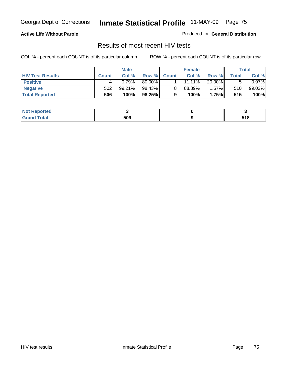### **Active Life Without Parole**

Produced for **General Distribution**

## Results of most recent HIV tests

|                         | <b>Male</b>  |        | <b>Female</b> |              |           | Total    |       |          |
|-------------------------|--------------|--------|---------------|--------------|-----------|----------|-------|----------|
| <b>HIV Test Results</b> | <b>Count</b> | Col %  | Row %         | <b>Count</b> | Col %     | Row %    | Total | Col %    |
| <b>Positive</b>         | 4            | 0.79%  | 80.00%        |              | $11.11\%$ | 20.00%   |       | $0.97\%$ |
| <b>Negative</b>         | 502          | 99.21% | 98.43%        |              | 88.89%    | $1.57\%$ | 510   | 99.03%   |
| <b>Total Reported</b>   | 506          | 100%   | 98.25%        |              | 100%      | 1.75%    | 515   | 100%     |

| <b>Not Reported</b> |     |                        |
|---------------------|-----|------------------------|
| <b>Fotal</b><br>Gr2 | 509 | E 4 0<br>ט ו ט<br>$ -$ |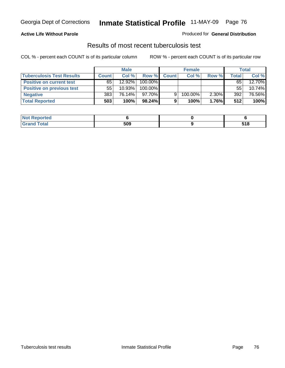#### **Active Life Without Parole**

#### Produced for **General Distribution**

## Results of most recent tuberculosis test

|                                  | <b>Male</b>  |           | <b>Female</b> |              |         | Total |       |           |
|----------------------------------|--------------|-----------|---------------|--------------|---------|-------|-------|-----------|
| <b>Tuberculosis Test Results</b> | <b>Count</b> | Col %     | Row %         | <b>Count</b> | Col%    | Row % | Total | Col %     |
| <b>Positive on current test</b>  | 65           | $12.92\%$ | 100.00%       |              |         |       | 65    | 12.70%    |
| <b>Positive on previous test</b> | 55           | 10.93%    | 100.00%       |              |         |       | 55    | $10.74\%$ |
| <b>Negative</b>                  | 383          | 76.14%    | 97.70%        | 9            | 100.00% | 2.30% | 392   | 76.56%    |
| <b>Total Reported</b>            | 503          | 100%      | 98.24%        |              | 100%    | 1.76% | 512   | 100%      |

| <b>Not</b><br>Reported |     |                     |
|------------------------|-----|---------------------|
| <b>Total</b>           | 509 | <b>E40</b><br>J I O |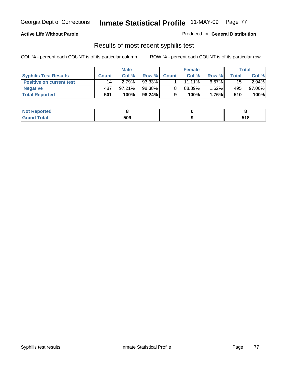### **Active Life Without Parole**

Produced for **General Distribution**

## Results of most recent syphilis test

|                                 | <b>Male</b>  |           | <b>Female</b> |              |           | Total    |       |          |
|---------------------------------|--------------|-----------|---------------|--------------|-----------|----------|-------|----------|
| <b>Syphilis Test Results</b>    | <b>Count</b> | Col %     | Row %         | <b>Count</b> | Col%      | Row %    | Total | Col %    |
| <b>Positive on current test</b> | 14           | 2.79%     | 93.33%        |              | $11.11\%$ | $6.67\%$ | 15    | $2.94\%$ |
| <b>Negative</b>                 | 487          | $97.21\%$ | 98.38%        |              | 88.89%    | 1.62%    | 495   | 97.06%   |
| <b>Total Reported</b>           | 501          | 100%      | 98.24%        |              | 100%      | 1.76%    | 510   | 100%     |

| <b>Not Reported</b> |     |             |
|---------------------|-----|-------------|
| <b>Grand Total</b>  | 509 | 54 O<br>ם נ |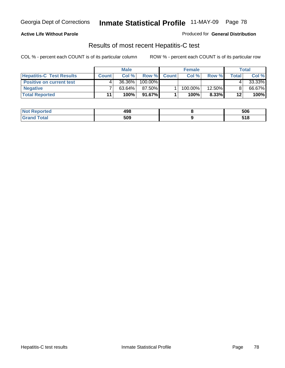### **Active Life Without Parole**

Produced for **General Distribution**

## Results of most recent Hepatitis-C test

|                                 | <b>Male</b>  |        | <b>Female</b> |              |            | Total    |         |        |
|---------------------------------|--------------|--------|---------------|--------------|------------|----------|---------|--------|
| <b>Hepatitis-C Test Results</b> | <b>Count</b> | Col %  | Row %         | <b>Count</b> | Col %      | Row %    | Total   | Col %  |
| <b>Positive on current test</b> |              | 36.36% | 100.00%       |              |            |          |         | 33.33% |
| <b>Negative</b>                 |              | 63.64% | 87.50%        |              | $100.00\%$ | 12.50%   |         | 66.67% |
| <b>Total Reported</b>           | 11           | 100%   | 91.67%        |              | 100%       | $8.33\%$ | $12 \,$ | 100%   |

| <b>Not Reported</b>        | 498 | 506            |
|----------------------------|-----|----------------|
| <b>otal</b><br>$\cdot$ Grs | 509 | E 4 0<br>J I O |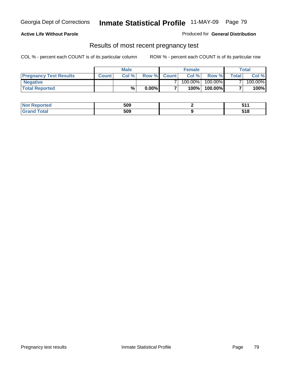### **Active Life Without Parole**

Produced for **General Distribution**

### Results of most recent pregnancy test

|                               | <b>Male</b>  |      |          | <b>Female</b>  |            |         | <b>Total</b>   |         |
|-------------------------------|--------------|------|----------|----------------|------------|---------|----------------|---------|
| <b>Pregnancy Test Results</b> | <b>Count</b> | Col% | Row %    | <b>Count</b> Ⅰ | Col %      | Row %   | <b>Total</b> I | Col %   |
| <b>Negative</b>               |              |      |          |                | $100.00\%$ | 100.00% |                | 100.00% |
| <b>Total Reported</b>         |              | %    | $0.00\%$ |                | 100%       | 100.00% |                | 100%    |

| orted      | 509 |              |
|------------|-----|--------------|
| <b>ota</b> | 509 | E 4 O<br>JIU |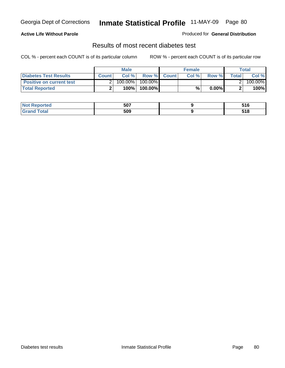### **Active Life Without Parole**

#### Produced for **General Distribution**

## Results of most recent diabetes test

|                                 |              | <b>Male</b> |            |             | <b>Female</b> |          |              | Total   |
|---------------------------------|--------------|-------------|------------|-------------|---------------|----------|--------------|---------|
| <b>Diabetes Test Results</b>    | <b>Count</b> | Col %       |            | Row % Count | Col%          | Row %    | <b>Total</b> | Col %   |
| <b>Positive on current test</b> |              | 100.00%     | $100.00\%$ |             |               |          |              | 100.00% |
| <b>Total Reported</b>           |              | 100%        | 100.00%    |             | %             | $0.00\%$ |              | 100%    |

| <b>Reported</b>  | 507 | -40<br>JIU     |
|------------------|-----|----------------|
| <b>otal</b><br>. | 509 | E 4 0<br>ם ו ט |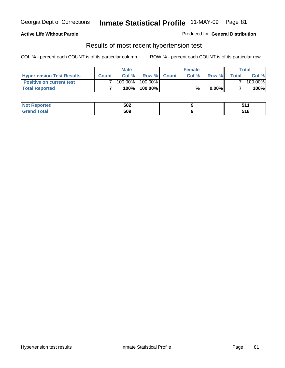### **Active Life Without Parole**

#### Produced for **General Distribution**

### Results of most recent hypertension test

|                                  |              | <b>Male</b> |            |             | <b>Female</b> |          |        | Total   |
|----------------------------------|--------------|-------------|------------|-------------|---------------|----------|--------|---------|
| <b>Hypertension Test Results</b> | <b>Count</b> | Col %       |            | Row % Count | Col%          | Row %    | Totall | Col %   |
| <b>Positive on current test</b>  |              | 100.00%     | $100.00\%$ |             |               |          |        | 100.00% |
| <b>Total Reported</b>            |              | 100%        | 100.00%    |             | %             | $0.00\%$ |        | 100%    |

| orted      | 502 |                |
|------------|-----|----------------|
| <b>ota</b> | 509 | E 4 O<br>J I U |